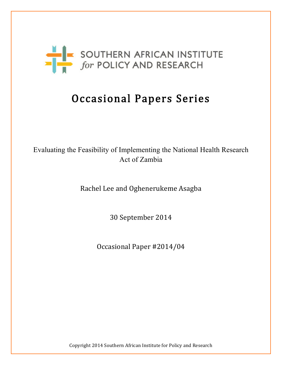

# Occasional Papers Series

# Evaluating the Feasibility of Implementing the National Health Research Act of Zambia

Rachel Lee and Oghenerukeme Asagba

30 September 2014

Occasional Paper #2014/04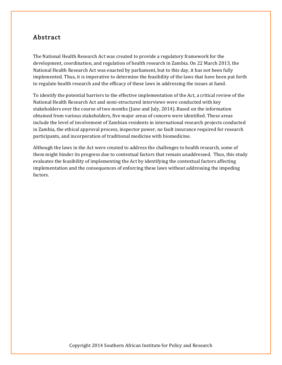### Abstract

The National Health Research Act was created to provide a regulatory framework for the development, coordination, and regulation of health research in Zambia. On 22 March 2013, the National Health Research Act was enacted by parliament, but to this day, it has not been fully implemented. Thus, it is imperative to determine the feasibility of the laws that have been put forth to regulate health research and the efficacy of these laws in addressing the issues at hand.

To identify the potential barriers to the effective implementation of the Act, a critical review of the National Health Research Act and semi-structured interviews were conducted with key stakeholders over the course of two months (June and July, 2014). Based on the information obtained from various stakeholders, five major areas of concern were identified. These areas include the level of involvement of Zambian residents in international research projects conducted in Zambia, the ethical approval process, inspector power, no fault insurance required for research participants, and incorporation of traditional medicine with biomedicine.

Although the laws in the Act were created to address the challenges to health research, some of them might hinder its progress due to contextual factors that remain unaddressed. Thus, this study evaluates the feasibility of implementing the Act by identifying the contextual factors affecting implementation and the consequences of enforcing these laws without addressing the impeding factors.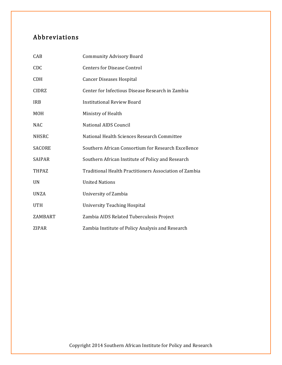# Abbreviations

| CAB           | <b>Community Advisory Board</b>                        |
|---------------|--------------------------------------------------------|
| CDC           | <b>Centers for Disease Control</b>                     |
| <b>CDH</b>    | <b>Cancer Diseases Hospital</b>                        |
| <b>CIDRZ</b>  | Center for Infectious Disease Research in Zambia       |
| <b>IRB</b>    | <b>Institutional Review Board</b>                      |
| <b>MOH</b>    | Ministry of Health                                     |
| <b>NAC</b>    | <b>National AIDS Council</b>                           |
| <b>NHSRC</b>  | National Health Sciences Research Committee            |
| <b>SACORE</b> | Southern African Consortium for Research Excellence    |
| <b>SAIPAR</b> | Southern African Institute of Policy and Research      |
| THPAZ         | Traditional Health Practitioners Association of Zambia |
| UN            | <b>United Nations</b>                                  |
| <b>UNZA</b>   | University of Zambia                                   |
| <b>UTH</b>    | <b>University Teaching Hospital</b>                    |
| ZAMBART       | Zambia AIDS Related Tuberculosis Project               |
| ZIPAR         | Zambia Institute of Policy Analysis and Research       |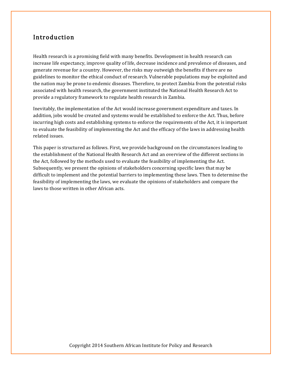## Introduction

Health research is a promising field with many benefits. Development in health research can increase life expectancy, improve quality of life, decrease incidence and prevalence of diseases, and generate revenue for a country. However, the risks may outweigh the benefits if there are no guidelines to monitor the ethical conduct of research. Vulnerable populations may be exploited and the nation may be prone to endemic diseases. Therefore, to protect Zambia from the potential risks associated with health research, the government instituted the National Health Research Act to provide a regulatory framework to regulate health research in Zambia.

Inevitably, the implementation of the Act would increase government expenditure and taxes. In addition, jobs would be created and systems would be established to enforce the Act. Thus, before incurring high costs and establishing systems to enforce the requirements of the Act, it is important to evaluate the feasibility of implementing the Act and the efficacy of the laws in addressing health related issues.

This paper is structured as follows. First, we provide background on the circumstances leading to the establishment of the National Health Research Act and an overview of the different sections in the Act, followed by the methods used to evaluate the feasibility of implementing the Act. Subsequently, we present the opinions of stakeholders concerning specific laws that may be difficult to implement and the potential barriers to implementing these laws. Then to determine the feasibility of implementing the laws, we evaluate the opinions of stakeholders and compare the laws to those written in other African acts.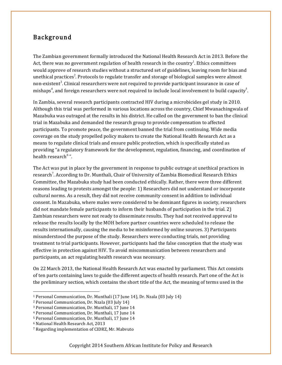# Background

The Zambian government formally introduced the National Health Research Act in 2013. Before the Act, there was no government regulation of health research in the country $^{\rm l}$ . Ethics committees would approve of research studies without a structured set of guidelines, leaving room for bias and unethical practices<sup>2</sup>. Protocols to regulate transfer and storage of biological samples were almost non-existent<sup>3</sup>. Clinical researchers were not required to provide participant insurance in case of mishaps $^4$ , and foreign researchers were not required to include local involvement to build capacity $^5$ .

In Zambia, several research participants contracted HIV during a microbicides gel study in 2010. Although this trial was performed in various locations across the country, Chief Mwanachingwala of Mazabuka was outraged at the results in his district. He called on the government to ban the clinical trial in Mazabuka and demanded the research group to provide compensation to affected participants. To promote peace, the government banned the trial from continuing. Wide media coverage on the study propelled policy makers to create the National Health Research Act as a means to regulate clinical trials and ensure public protection, which is specifically stated as providing "a regulatory framework for the development, regulation, financing, and coordination of health research  $\alpha$ ".

The Act was put in place by the government in response to public outrage at unethical practices in research<sup>7</sup>. According to Dr. Munthali, Chair of University of Zambia Biomedical Research Ethics Committee, the Mazabuka study had been conducted ethically. Rather, there were three different reasons leading to protests amongst the people: 1) Researchers did not understand or incorporate cultural norms. As a result, they did not receive community consent in addition to individual consent. In Mazabuka, where males were considered to be dominant figures in society, researchers did not mandate female participants to inform their husbands of participation in the trial.  $2)$ Zambian researchers were not ready to disseminate results. They had not received approval to release the results locally by the MOH before partner countries were scheduled to release the results internationally, causing the media to be misinformed by online sources. 3) Participants misunderstood the purpose of the study. Researchers were conducting trials, not providing treatment to trial participants. However, participants had the false conception that the study was effective in protection against HIV. To avoid miscommunication between researchers and participants, an act regulating health research was necessary.

On 22 March 2013, the National Health Research Act was enacted by parliament. This Act consists of ten parts containing laws to guide the different aspects of health research. Part one of the Act is the preliminary section, which contains the short title of the Act, the meaning of terms used in the

<sup>&</sup>lt;sup>1</sup> Personal Communication, Dr. Munthali (17 June 14), Dr. Nzala (03 July 14)

<sup>&</sup>lt;sup>2</sup> Personal Communication, Dr. Nzala (03 July 14)

<sup>&</sup>lt;sup>3</sup> Personal Communication, Dr. Munthali, 17 June 14

<sup>&</sup>lt;sup>4</sup> Personal Communication, Dr. Munthali, 17 June 14

<sup>&</sup>lt;sup>5</sup> Personal Communication, Dr. Munthali, 17 June 14

<sup>&</sup>lt;sup>6</sup> National Health Research Act, 2013

<sup>&</sup>lt;sup>7</sup> Regarding implementation of CIDRZ, Mr. Mabvuto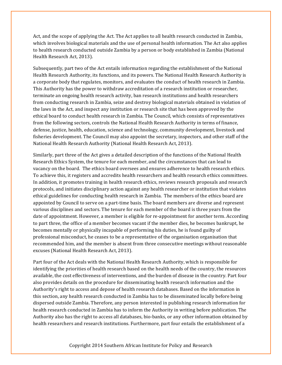Act, and the scope of applying the Act. The Act applies to all health research conducted in Zambia, which involves biological materials and the use of personal health information. The Act also applies to health research conducted outside Zambia by a person or body established in Zambia (National Health Research Act, 2013).

Subsequently, part two of the Act entails information regarding the establishment of the National Health Research Authority, its functions, and its powers. The National Health Research Authority is a corporate body that regulates, monitors, and evaluates the conduct of health research in Zambia. This Authority has the power to withdraw accreditation of a research institution or researcher, terminate an ongoing health research activity, ban research institutions and health researchers from conducting research in Zambia, seize and destroy biological materials obtained in violation of the laws in the Act, and inspect any institution or research site that has been approved by the ethical board to conduct health research in Zambia. The Council, which consists of representatives from the following sectors, controls the National Health Research Authority in terms of finance, defense, justice, health, education, science and technology, community development, livestock and fisheries development. The Council may also appoint the secretary, inspectors, and other staff of the National Health Research Authority (National Health Research Act, 2013).

Similarly, part three of the Act gives a detailed description of the functions of the National Health Research Ethics System, the tenure for each member, and the circumstances that can lead to vacancy on the board. The ethics board oversees and ensures adherence to health research ethics. To achieve this, it registers and accredits health researchers and health research ethics committees. In addition, it promotes training in health research ethics, reviews research proposals and research protocols, and initiates disciplinary action against any health researcher or institution that violates ethical guidelines for conducting health research in Zambia. The members of the ethics board are appointed by Council to serve on a part-time basis. The board members are diverse and represent various disciplines and sectors. The tenure for each member of the board is three years from the date of appointment. However, a member is eligible for re-appointment for another term. According to part three, the office of a member becomes vacant if the member dies, he becomes bankrupt, he becomes mentally or physically incapable of performing his duties, he is found guilty of professional misconduct, he ceases to be a representative of the organisation organisation that recommended him, and the member is absent from three consecutive meetings without reasonable excuses (National Health Research Act, 2013).

Part four of the Act deals with the National Health Research Authority, which is responsible for identifying the priorities of health research based on the health needs of the country, the resources available, the cost effectiveness of interventions, and the burden of disease in the country. Part four also provides details on the procedure for disseminating health research information and the Authority's right to access and depose of health research databases. Based on the information in this section, any health research conducted in Zambia has to be disseminated locally before being dispersed outside Zambia. Therefore, any person interested in publishing research information for health research conducted in Zambia has to inform the Authority in writing before publication. The Authority also has the right to access all databases, bio-banks, or any other information obtained by health researchers and research institutions. Furthermore, part four entails the establishment of a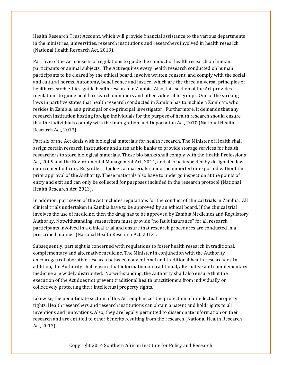Health Research Trust Account, which will provide financial assistance to the various departments in the ministries, universities, research institutions and researchers involved in health research (National Health Research Act, 2013).

Part five of the Act consists of regulations to guide the conduct of health research on human participants or animal subjects. The Act requires every health research conducted on human participants to be cleared by the ethical board, involve written consent, and comply with the social and cultural norms. Autonomy, beneficence and justice, which are the three universal principles of health research ethics, guide health research in Zambia. Also, this section of the Act provides regulations to guide health research on minors and other vulnerable groups. One of the striking laws in part five states that health research conducted in Zambia has to include a Zambian, who resides in Zambia, as a principal or co-principal investigator. Furthermore, it demands that any research institution hosting foreign individuals for the purpose of health research should ensure that the individuals comply with the Immigration and Deportation Act, 2010 (National Health Research Act, 2013).

Part six of the Act deals with biological materials for health research. The Minister of Health shall assign certain research institutions and sites as bio banks to provide storage services for health researchers to store biological materials. These bio banks shall comply with the Health Professions Act, 2009 and the Environmental Management Act, 2011, and also be inspected by designated law enforcement officers. Regardless, biological materials cannot be imported or exported without the prior approval of the Authority. These materials also have to undergo inspection at the points of entry and exit and can only be collected for purposes included in the research protocol (National Health Research Act, 2013).

In addition, part seven of the Act includes regulations for the conduct of clinical trials in Zambia. All clinical trials undertaken in Zambia have to be approved by an ethical board. If the clinical trial involves the use of medicine, then the drug has to be approved by Zambia Medicines and Regulatory Authority. Notwithstanding, researchers must provide "no fault insurance" for all research participants involved in a clinical trial and ensure that research procedures are conducted in a prescribed manner (National Health Research Act, 2013).

Subsequently, part eight is concerned with regulations to foster health research in traditional, complementary and alternative medicine. The Minister in conjunction with the Authority encourages collaborative research between conventional and traditional health researchers. In addition, the Authority shall ensure that information on traditional, alternative and complementary medicine are widely distributed. Notwithstanding, the Authority shall also ensure that the execution of the Act does not prevent traditional health practitioners from individually or collectively protecting their intellectual property rights.

Likewise, the penultimate section of this Act emphasizes the protection of intellectual property rights. Health researchers and research institutions can obtain a patent and hold rights to all inventions and innovations. Also, they are legally permitted to disseminate information on their research and are entitled to other benefits resulting from the research (National Health Research Act, 2013).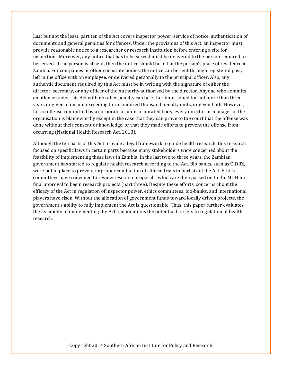Last but not the least, part ten of the Act covers inspector power, service of notice, authentication of documents and general penalties for offences. Under the provisions of this Act, an inspector must provide reasonable notice to a researcher or research institution before entering a site for inspection. Moreover, any notice that has to be served must be delivered to the person required to be served. If the person is absent, then the notice should be left at the person's place of residence in Zambia. For companies or other corporate bodies, the notice can be sent through registered post, left in the office with an employee, or delivered personally to the principal officer. Also, any authentic document required by this Act must be in writing with the signature of either the director, secretary, or any officer of the Authority authorised by the director. Anyone who commits an offense under this Act with no other penalty can be either imprisoned for not more than three years or given a fine not exceeding three hundred thousand penalty units, or given both. However, for an offense committed by a corporate or unincorporated body, every director or manager of the organisation is blameworthy except in the case that they can prove to the court that the offense was done without their consent or knowledge, or that they made efforts to prevent the offense from occurring (National Health Research Act, 2013).

Although the ten parts of this Act provide a legal framework to guide health research, this research focused on specific laws in certain parts because many stakeholders were concerned about the feasibility of implementing these laws in Zambia. In the last two to three years, the Zambian government has started to regulate health research according to the Act. Bio banks, such as CIDRZ, were put in place to prevent improper conduction of clinical trials in part six of the Act. Ethics committees have convened to review research proposals, which are then passed on to the MOH for final approval to begin research projects (part three). Despite these efforts, concerns about the efficacy of the Act in regulation of inspector power, ethics committees, bio-banks, and international players have risen. Without the allocation of government funds toward locally driven projects, the government's ability to fully implement the Act is questionable. Thus, this paper further evaluates the feasibility of implementing the Act and identifies the potential barriers to regulation of health research.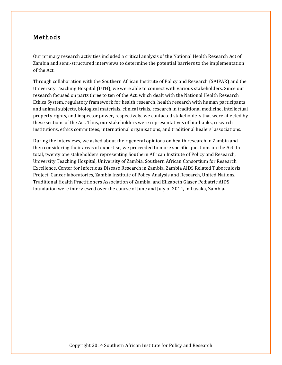# Methods

Our primary research activities included a critical analysis of the National Health Research Act of Zambia and semi-structured interviews to determine the potential barriers to the implementation of the Act.

Through collaboration with the Southern African Institute of Policy and Research (SAIPAR) and the University Teaching Hospital (UTH), we were able to connect with various stakeholders. Since our research focused on parts three to ten of the Act, which dealt with the National Health Research Ethics System, regulatory framework for health research, health research with human participants and animal subjects, biological materials, clinical trials, research in traditional medicine, intellectual property rights, and inspector power, respectively, we contacted stakeholders that were affected by these sections of the Act. Thus, our stakeholders were representatives of bio-banks, research institutions, ethics committees, international organisations, and traditional healers' associations.

During the interviews, we asked about their general opinions on health research in Zambia and then considering their areas of expertise, we proceeded to more specific questions on the Act. In total, twenty one stakeholders representing Southern African Institute of Policy and Research, University Teaching Hospital, University of Zambia, Southern African Consortium for Research Excellence, Center for Infectious Disease Research in Zambia, Zambia AIDS Related Tuberculosis Project, Cancer laboratories, Zambia Institute of Policy Analysis and Research, United Nations, Traditional Health Practitioners Association of Zambia, and Elizabeth Glaser Pediatric AIDS foundation were interviewed over the course of June and July of 2014, in Lusaka, Zambia.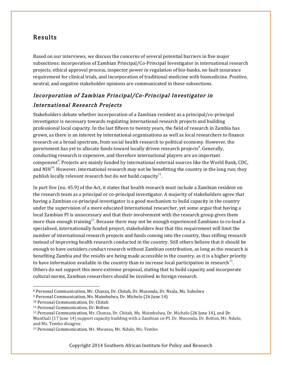# Results

Based on our interviews, we discuss the concerns of several potential barriers in five major subsections: incorporation of Zambian Principal/Co-Principal Investigator in international research projects, ethical approval process, inspector power in regulation of bio-banks, no fault insurance requirement for clinical trials, and incorporation of traditional medicine with biomedicine. Positive, neutral, and negative stakeholder opinions are communicated in these subsections.

# Incorporation of Zambian Principal/Co-Principal Investigator in International Research Projects

Stakeholders debate whether incorporation of a Zambian resident as a principal/co-principal investigator is necessary towards regulating international research projects and building professional local capacity. In the last fifteen to twenty years, the field of research in Zambia has grown, as there is an interest by international organisations as well as local researchers to finance research on a broad spectrum, from social health research to political economy. However, the government has yet to allocate funds toward locally driven research projects $^8$ . Generally, conducting research is expensive, and therefore international players are an important component $^9$ . Projects are mainly funded by international external sources like the World Bank, CDC, and NIH $^{10}$ . However, international research may not be benefitting the country in the long run; they publish locally relevant research but do not build capacity<sup>11</sup>.

In part five (no. 45.9) of the Act, it states that health research must include a Zambian resident on the research team as a principal or co-principal investigator. A majority of stakeholders agree that having a Zambian co-principal investigator is a good mechanism to build capacity in the country under the supervision of a more educated international researcher, yet some argue that having a local Zambian PI is unnecessary and that their involvement with the research group gives them more than enough training<sup>12</sup>. Because there may not be enough experienced Zambians to co-lead a specialised, internationally funded project, stakeholders fear that this requirement will limit the number of international research projects and funds coming into the country, thus stifling research instead of improving health research conducted in the country. Still others believe that it should be enough to have outsiders conduct research without Zambian contribution, as long as the research is benefiting Zambia and the results are being made accessible in the country, as it is a higher priority to have information available in the country than to increase local participation in research<sup>13</sup>. Others do not support this more extreme proposal, stating that to build capacity and incorporate cultural norms, Zambian researchers should be involved in foreign research.

<u> 1989 - Johann Stein, marwolaethau a bh</u>

<sup>8</sup> Personal Communication, Mr. Chansa, Dr. Chitah, Dr. Musonda, Dr. Nzala, Ms. Subulwa

<sup>&</sup>lt;sup>9</sup> Personal Communication, Ms. Maimbolwa, Dr. Michelo (26 June 14)

<sup>&</sup>lt;sup>10</sup> Personal Communication, Dr. Chitah

<sup>&</sup>lt;sup>11</sup> Personal Communication, Dr. Bolton

<sup>&</sup>lt;sup>12</sup> Personal Communication, Mr. Chansa, Dr. Chitah, Ms. Maimbolwa, Dr. Michelo (26 June 14), and Dr. Munthali (17 June 14) support capacity building with a Zambian co-PI. Dr. Musonda, Dr. Bolton, Mr. Ndulo, and Ms. Tembo disagree.

<sup>&</sup>lt;sup>13</sup> Personal Communication, Mr. Mwansa, Mr. Ndulo, Ms. Tembo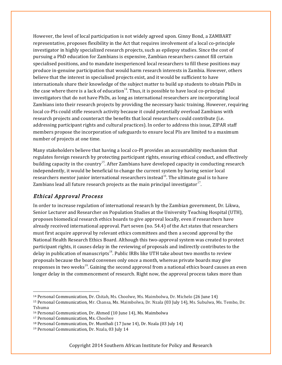However, the level of local participation is not widely agreed upon. Ginny Bond, a ZAMBART representative, proposes flexibility in the Act that requires involvement of a local co-principle investigator in highly specialized research projects, such as epilepsy studies. Since the cost of pursuing a PhD education for Zambians is expensive, Zambian researchers cannot fill certain specialised positions, and to mandate inexperienced local researchers to fill these positions may produce in-genuine participation that would harm research interests in Zambia. However, others believe that the interest in specialised projects exist, and it would be sufficient to have internationals share their knowledge of the subject matter to build up students to obtain PhDs in the case where there is a lack of education<sup>14</sup>. Thus, it is possible to have local co-principal investigators that do not have PhDs, as long as international researchers are incorporating local Zambians into their research projects by providing the necessary basic training. However, requiring local co-PIs could stifle research activity because it could potentially overload Zambians with research projects and counteract the benefits that local researchers could contribute (i.e. addressing participant rights and cultural practices). In order to address this issue, ZIPAR staff members propose the incorporation of safeguards to ensure local PIs are limited to a maximum number of projects at one time.

Many stakeholders believe that having a local co-PI provides an accountability mechanism that regulates foreign research by protecting participant rights, ensuring ethical conduct, and effectively building capacity in the country<sup>15</sup>. After Zambians have developed capacity in conducting research independently, it would be beneficial to change the current system by having senior local researchers mentor junior international researchers instead<sup>16</sup>. The ultimate goal is to have Zambians lead all future research projects as the main principal investigator<sup>17</sup>.

#### Ethical Approval Process

In order to increase regulation of international research by the Zambian government, Dr. Likwa, Senior Lecturer and Researcher on Population Studies at the University Teaching Hospital (UTH), proposes biomedical research ethics boards to give approval locally, even if researchers have already received international approval. Part seven (no. 54.4) of the Act states that researchers must first acquire approval by relevant ethics committees and then a second approval by the National Health Research Ethics Board. Although this two-approval system was created to protect participant rights, it causes delay in the reviewing of proposals and indirectly contributes to the delay in publication of manuscripts<sup>18</sup>. Public IRBs like UTH take about two months to review proposals because the board convenes only once a month, whereas private boards may give responses in two weeks<sup>19</sup>. Gaining the second approval from a national ethics board causes an even longer delay in the commencement of research. Right now, the approval process takes more than

 

<sup>&</sup>lt;sup>14</sup> Personal Communication, Dr. Chitah, Ms. Choolwe, Ms. Maimbolwa, Dr. Michelo (26 June 14)

<sup>15</sup> Personal Communication, Mr. Chansa, Ms. Maimbolwa, Dr. Nzala (03 July 14), Ms. Subulwa, Ms. Tembo, Dr. Tshuma 

<sup>&</sup>lt;sup>16</sup> Personal Communication, Dr. Ahmed (10 June 14), Ms. Maimbolwa

<sup>&</sup>lt;sup>17</sup> Personal Communication, Ms. Choolwe

<sup>&</sup>lt;sup>18</sup> Personal Communication, Dr. Munthali  $(17 \text{ June } 14)$ , Dr. Nzala  $(03 \text{ July } 14)$ 

<sup>&</sup>lt;sup>19</sup> Personal Communication, Dr. Nzala, 03 July 14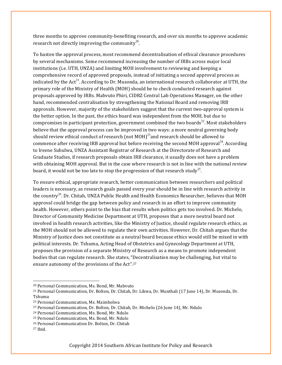three months to approve community-benefiting research, and over six months to approve academic research not directly improving the community<sup>20</sup>.

To hasten the approval process, most recommend decentralisation of ethical clearance procedures by several mechanisms. Some recommend increasing the number of IRBs across major local institutions (i.e. UTH, UNZA) and limiting MOH involvement to reviewing and keeping a comprehensive record of approved proposals, instead of initiating a second approval process as indicated by the  $Act^{21}$ . According to Dr. Musonda, an international research collaborator at UTH, the primary role of the Ministry of Health (MOH) should be to check conducted research against proposals approved by IRBs. Mabvuto Phiri, CIDRZ Central Lab Operations Manager, on the other hand, recommended centralisation by strengthening the National Board and removing IRB approvals. However, majority of the stakeholders suggest that the current two-approval system is the better option. In the past, the ethics board was independent from the MOH, but due to compromises in participant protection, government combined the two boards<sup>22</sup>. Most stakeholders believe that the approval process can be improved in two ways: a more neutral governing body should review ethical conduct of research (not MOH)<sup>23</sup>and research should be allowed to commence after receiving IRB approval but before receiving the second MOH approval<sup>24</sup>. According to Ireene Subulwa, UNZA Assistant Registrar of Research at the Directorate of Research and Graduate Studies, if research proposals obtain IRB clearance, it usually does not have a problem with obtaining MOH approval. But in the case where research is not in line with the national review board, it would not be too late to stop the progression of that research study<sup>25</sup>.

To ensure ethical, appropriate research, better communication between researchers and political leaders is necessary, as research goals passed every year should be in line with research activity in the country<sup>26</sup>. Dr. Chitah, UNZA Public Health and Health Economics Researcher, believes that MOH approval could bridge the gap between policy and research in an effort to improve community health. However, others point to the bias that results when politics gets too involved. Dr. Michelo, Director of Community Medicine Department at UTH, proposes that a more neutral board not involved in health research activities, like the Ministry of Justice, should regulate research ethics, as the MOH should not be allowed to regulate their own activities. However, Dr. Chitah argues that the Ministry of Justice does not constitute as a neutral board because ethics would still be mixed in with political interests. Dr. Tshuma, Acting Head of Obstetrics and Gynecology Department at UTH, proposes the provision of a separate Ministry of Research as a means to promote independent bodies that can regulate research. She states, "Decentralisation may be challenging, but vital to ensure autonomy of the provisions of the Act".<sup>27</sup>

<sup>&</sup>lt;sup>20</sup> Personal Communication, Ms. Bond, Mr. Mabvuto

<sup>&</sup>lt;sup>21</sup> Personal Communication, Dr. Bolton, Dr. Chitah, Dr. Likwa, Dr. Munthali (17 June 14), Dr. Musonda, Dr. Tshuma

<sup>&</sup>lt;sup>22</sup> Personal Communication, Ms. Maimbolwa

<sup>&</sup>lt;sup>23</sup> Personal Communication, Dr. Bolton, Dr. Chitah, Dr. Michelo (26 June 14), Mr. Ndulo

<sup>&</sup>lt;sup>24</sup> Personal Communication, Ms. Bond, Mr. Ndulo

<sup>&</sup>lt;sup>25</sup> Personal Communication, Ms. Bond, Mr. Ndulo

<sup>&</sup>lt;sup>26</sup> Personal Communication Dr. Bolton, Dr. Chitah

<sup>27</sup> Ibid.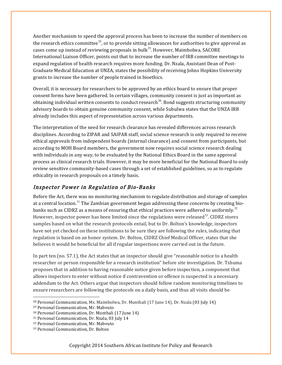Another mechanism to speed the approval process has been to increase the number of members on the research ethics committee<sup>28</sup>, or to provide sitting allowances for authorities to give approval as cases come up instead of reviewing proposals in bulk<sup>29</sup>. However, Maimbolwa, SACORE International Liaison Officer, points out that to increase the number of IRB committee meetings to expand regulation of health research requires more funding. Dr. Nzala, Assistant Dean of Post-Graduate Medical Education at UNZA, states the possibility of receiving Johns Hopkins University grants to increase the number of people trained in bioethics.

Overall, it is necessary for researchers to be approved by an ethics board to ensure that proper consent forms have been gathered. In certain villages, community consent is just as important as obtaining individual written consents to conduct research<sup>30</sup>. Bond suggests structuring community advisory boards to obtain genuine community consent, while Subulwa states that the UNZA IRB already includes this aspect of representation across various departments.

The interpretation of the need for research clearance has revealed differences across research disciplines. According to ZIPAR and SAIPAR staff, social science research is only required to receive ethical approvals from independent boards (internal clearance) and consent from participants, but according to MOH Board members, the government now requires social science research dealing with individuals in any way, to be evaluated by the National Ethics Board in the same approval process as clinical research trials. However, it may be more beneficial for the National Board to only review sensitive community-based cases through a set of established guidelines, so as to regulate ethicality in research proposals on a timely basis.

#### Inspector Power in Regulation of Bio-Banks

Before the Act, there was no monitoring mechanism to regulate distribution and storage of samples at a central location.<sup>31</sup> The Zambian government began addressing these concerns by creating biobanks such as CIDRZ as a means of ensuring that ethical practices were adhered to uniformly. $^{32}$ However, inspector power has been limited since the regulations were released<sup>33</sup>. CIDRZ stores samples based on what the research protocols entail, but to Dr. Bolton's knowledge, inspectors have not yet checked on these institutions to be sure they are following the rules, indicating that regulation is based on an honor system. Dr. Bolton, CIDRZ Chief Medical Officer, states that she believes it would be beneficial for all if regular inspections were carried out in the future.

In part ten (no. 57.1), the Act states that an inspector should give "reasonable notice to a health researcher or person responsible for a research institution" before site investigation. Dr. Tshuma proposes that in addition to having reasonable notice given before inspection, a component that allows inspectors to enter without notice if contravention or offence is suspected is a necessary addendum to the Act. Others argue that inspectors should follow random monitoring timelines to ensure researchers are following the protocols on a daily basis, and thus all visits should be

 $28$  Personal Communication, Ms. Maimbolwa, Dr. Munthali (17 June 14), Dr. Nzala (03 July 14)

<sup>&</sup>lt;sup>29</sup> Personal Communication, Mr. Mabvuto

<sup>&</sup>lt;sup>30</sup> Personal Communication, Dr. Munthali (17 June 14)

<sup>&</sup>lt;sup>31</sup> Personal Communication, Dr. Nzala, 03 July 14

<sup>32</sup> Personal Communication, Mr. Mabvuto

<sup>33</sup> Personal Communication, Dr. Bolton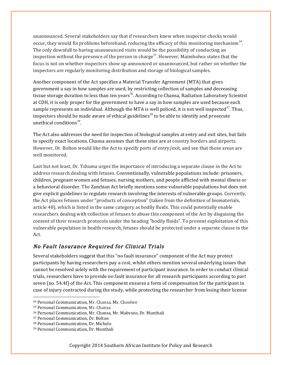unannounced. Several stakeholders say that if researchers knew when inspector checks would occur, they would fix problems beforehand, reducing the efficacy of this monitoring mechanism<sup>34</sup>. The only downfall to having unannounced visits would be the possibility of conducting an inspection without the presence of the person in charge<sup>35</sup>. However, Maimbolwa states that the focus is not on whether inspectors show up announced or unannounced, but rather on whether the inspectors are regularly monitoring distribution and storage of biological samples.

Another component of the Act specifies a Material Transfer Agreement (MTA) that gives government a say in how samples are used, by restricting collection of samples and decreasing tissue storage duration to less than ten years<sup>36</sup>. According to Chansa, Radiation Laboratory Scientist at CDH, it is only proper for the government to have a say in how samples are used because each sample represents an individual. Although the MTA is well policed, it is not well inspected<sup>37</sup>. Thus, inspectors should be made aware of ethical guidelines<sup>38</sup> to be able to identify and prosecute unethical conditions $39$ .

The Act also addresses the need for inspection of biological samples at entry and exit sites, but fails to specify exact locations. Chansa assumes that these sites are at country borders and airports. However, Dr. Bolton would like the Act to specify ports of entry/exit, and see that those areas are well monitored.

Last but not least, Dr. Tshuma urges the importance of introducing a separate clause in the Act to address research dealing with fetuses. Conventionally, vulnerable populations include: prisoners, children, pregnant women and fetuses, nursing mothers, and people afflicted with mental illness or a behavioral disorder. The Zambian Act briefly mentions some vulnerable populations but does not give explicit guidelines to regulate research involving the interests of vulnerable groups. Currently, the Act places fetuses under "products of conception" (taken from the definition of biomaterials, article 48), which is listed in the same category as bodily fluids. This could potentially enable researchers dealing with collection of fetuses to abuse this component of the Act by disguising the content of their research protocols under the heading "bodily fluids". To prevent exploitation of this vulnerable population in health research, fetuses should be protected under a separate clause in the Act. 

#### No Fault Insurance Required for Clinical Trials

Several stakeholders suggest that this "no fault insurance" component of the Act may protect participants by having researchers pay a cost, whilst others mention several underlying issues that cannot be resolved solely with the requirement of participant insurance. In order to conduct clinical trials, researchers have to provide no fault insurance for all research participants according to part seven (no. 54.4f) of the Act. This component ensures a form of compensation for the participant in case of injury contracted during the study, while protecting the researcher from losing their license

<sup>34</sup> Personal Communication, Mr. Chansa, Ms. Choolwe

<sup>&</sup>lt;sup>35</sup> Personal Communication, Mr. Chansa

<sup>&</sup>lt;sup>36</sup> Personal Communication, Mr. Chansa, Mr. Mabvuto, Dr. Munthali

<sup>&</sup>lt;sup>37</sup> Personal Communication, Dr. Bolton

<sup>38</sup> Personal Communication, Dr. Michelo

<sup>&</sup>lt;sup>39</sup> Personal Communication, Dr. Munthali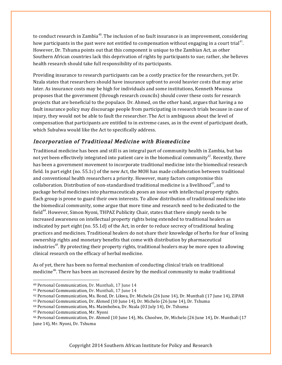to conduct research in Zambia<sup>40</sup>. The inclusion of no fault insurance is an improvement, considering how participants in the past were not entitled to compensation without engaging in a court trial<sup>41</sup>. However, Dr. Tshuma points out that this component is unique to the Zambian Act, as other Southern African countries lack this deprivation of rights by participants to sue; rather, she believes health research should take full responsibility of its participants.

Providing insurance to research participants can be a costly practice for the researchers, yet Dr. Nzala states that researchers should have insurance upfront to avoid heavier costs that may arise later. As insurance costs may be high for individuals and some institutions, Kenneth Mwansa proposes that the government (through research councils) should cover these costs for research projects that are beneficial to the populace. Dr. Ahmed, on the other hand, argues that having a no fault insurance policy may discourage people from participating in research trials because in case of injury, they would not be able to fault the researcher. The Act is ambiguous about the level of compensation that participants are entitled to in extreme cases, as in the event of participant death, which Subulwa would like the Act to specifically address.

# Incorporation of Traditional Medicine with Biomedicine

Traditional medicine has been and still is an integral part of community health in Zambia, but has not yet been effectively integrated into patient care in the biomedical community<sup>42</sup>. Recently, there has been a government movement to incorporate traditional medicine into the biomedical research field. In part eight  $(no. 55.1c)$  of the new Act, the MOH has made collaboration between traditional and conventional health researchers a priority. However, many factors compromise this collaboration. Distribution of non-standardised traditional medicine is a livelihood<sup>43</sup>, and to package herbal medicines into pharmaceuticals poses an issue with intellectual property rights. Each group is prone to guard their own interests. To allow distribution of traditional medicine into the biomedical community, some argue that more time and research need to be dedicated to the field<sup>44</sup>. However, Simon Nyoni, THPAZ Publicity Chair, states that there simply needs to be increased awareness on intellectual property rights being extended to traditional healers as indicated by part eight  $(no. 55.1d)$  of the Act, in order to reduce secrecy of traditional healing practices and medicines. Traditional healers do not share their knowledge of herbs for fear of losing ownership rights and monetary benefits that come with distribution by pharmaceutical industries<sup>45</sup>. By protecting their property rights, traditional healers may be more open to allowing clinical research on the efficacy of herbal medicine.

As of yet, there has been no formal mechanism of conducting clinical trials on traditional medicine<sup>46</sup>. There has been an increased desire by the medical community to make traditional

<u> 1989 - Johann Stein, marwolaethau a bh</u>

<sup>&</sup>lt;sup>40</sup> Personal Communication, Dr. Munthali, 17 June 14

<sup>&</sup>lt;sup>41</sup> Personal Communication, Dr. Munthali, 17 June 14

<sup>&</sup>lt;sup>42</sup> Personal Communication, Ms. Bond, Dr. Likwa, Dr. Michelo (26 June 14), Dr. Munthali (17 June 14), ZIPAR

<sup>&</sup>lt;sup>43</sup> Personal Communication, Dr. Ahmed (10 June 14), Dr. Michelo (26 June 14), Dr. Tshuma

<sup>&</sup>lt;sup>44</sup> Personal Communication, Ms. Maimbolwa, Dr. Nzala (03 July 14), Dr. Tshuma

<sup>&</sup>lt;sup>45</sup> Personal Communication, Mr. Nyoni

<sup>&</sup>lt;sup>46</sup> Personal Communication, Dr. Ahmed (10 June 14), Ms. Choolwe, Dr, Michelo (26 June 14), Dr. Munthali (17 June 14), Mr. Nyoni, Dr. Tshuma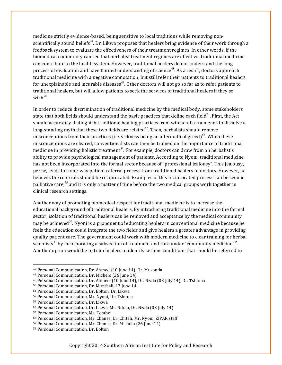medicine strictly evidence-based, being sensitive to local traditions while removing nonscientifically sound beliefs<sup>47</sup>. Dr. Likwa proposes that healers bring evidence of their work through a feedback system to evaluate the effectiveness of their treatment regimes. In other words, if the biomedical community can see that herbalist treatment regimes are effective, traditional medicine can contribute to the health system. However, traditional healers do not understand the long process of evaluation and have limited understanding of science<sup>48</sup>. As a result, doctors approach traditional medicine with a negative connotation, but still refer their patients to traditional healers for unexplainable and incurable diseases<sup>49</sup>. Other doctors will not go so far as to refer patients to traditional healers, but will allow patients to seek the services of traditional healers if they so wish $50$ .

In order to reduce discrimination of traditional medicine by the medical body, some stakeholders state that both fields should understand the basic practices that define each field<sup>51</sup>. First, the Act should accurately distinguish traditional healing practices from witchcraft as a means to dissolve a long-standing myth that these two fields are related<sup>52</sup>. Then, herbalists should remove misconceptions from their practices (i.e. sickness being an aftermath of greed)<sup>53</sup>. When these misconceptions are cleared, conventionalists can then be trained on the importance of traditional medicine in providing holistic treatment<sup>54</sup>. For example, doctors can draw from an herbalist's ability to provide psychological management of patients. According to Nyoni, traditional medicine has not been incorporated into the formal sector because of "professional jealousy". This jealousy, per se, leads to a one-way patient referral process from traditional healers to doctors. However, he believes the referrals should be reciprocated. Examples of this reciprocated process can be seen in palliative care,<sup>55</sup> and it is only a matter of time before the two medical groups work together in clinical research settings.

Another way of promoting biomedical respect for traditional medicine is to increase the educational background of traditional healers. By introducing traditional medicine into the formal sector, isolation of traditional healers can be removed and acceptance by the medical community may be achieved<sup>56</sup>. Nyoni is a proponent of educating healers in conventional medicine because he feels the education could integrate the two fields and give healers a greater advantage in providing quality patient care. The government could work with modern medicine to clear training for herbal scientists<sup>57</sup> by incorporating a subsection of treatment and care under "community medicine"<sup>58</sup>. Another option would be to train healers to identify serious conditions that should be referred to

<sup>&</sup>lt;sup>47</sup> Personal Communication, Dr. Ahmed {10 June 14), Dr. Musonda

<sup>&</sup>lt;sup>48</sup> Personal Communication, Dr. Michelo (26 June 14)

<sup>&</sup>lt;sup>49</sup> Personal Communication, Dr. Ahmed, (10 June 14), Dr. Nzala (03 July 14), Dr. Tshuma

<sup>&</sup>lt;sup>50</sup> Personal Communication, Dr. Munthali, 17 June 14

<sup>&</sup>lt;sup>51</sup> Personal Communication, Dr. Bolton, Dr. Likwa

<sup>52</sup> Personal Communication, Mr. Nyoni, Dr. Tshuma

<sup>53</sup> Personal Communication, Dr. Likwa

<sup>&</sup>lt;sup>54</sup> Personal Communication, Dr. Likwa, Mr. Ndulo, Dr. Nzala (03 July 14)

<sup>&</sup>lt;sup>55</sup> Personal Communication, Ms. Tembo

<sup>&</sup>lt;sup>56</sup> Personal Communication, Mr. Chansa, Dr. Chitah, Mr. Nyoni, ZIPAR staff

<sup>&</sup>lt;sup>57</sup> Personal Communication, Mr. Chansa, Dr. Michelo (26 June 14)

<sup>58</sup> Personal Communication, Dr. Bolton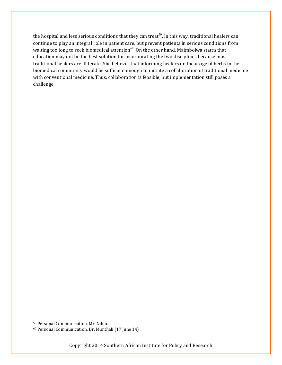the hospital and less serious conditions that they can treat<sup>59</sup>. In this way, traditional healers can continue to play an integral role in patient care, but prevent patients in serious conditions from waiting too long to seek biomedical attention<sup>60</sup>. On the other hand, Maimbolwa states that education may not be the best solution for incorporating the two disciplines because most traditional healers are illiterate. She believes that informing healers on the usage of herbs in the biomedical community would be sufficient enough to initiate a collaboration of traditional medicine with conventional medicine. Thus, collaboration is feasible, but implementation still poses a challenge. 

<u> 1989 - Johann Stein, marwolaethau a bh</u>

<sup>59</sup> Personal Communication, Mr. Ndulo

<sup>&</sup>lt;sup>60</sup> Personal Communication, Dr. Munthali (17 June 14)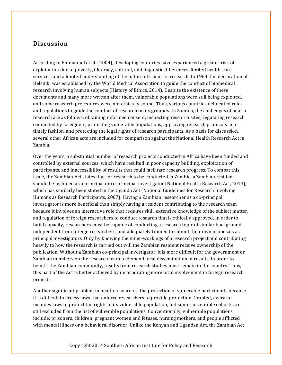### Discussion

According to Emmanuel et al. (2004), developing countries have experienced a greater risk of exploitation due to poverty, illiteracy, cultural, and linguistic differences, limited health-care services, and a limited understanding of the nature of scientific research. In 1964, the declaration of Helsinki was established by the World Medical Association to guide the conduct of biomedical research involving human subjects (History of Ethics, 2014). Despite the existence of these documents and many more written after them, vulnerable populations were still being exploited, and some research procedures were not ethically sound. Thus, various countries delineated rules and regulations to guide the conduct of research on its grounds. In Zambia, the challenges of health research are as follows: obtaining informed consent, inspecting research sites, regulating research conducted by foreigners, protecting vulnerable populations, approving research protocols in a timely fashion, and protecting the legal rights of research participants. As a basis for discussion, several other African acts are included for comparison against the National Health Research Act in Zambia. 

Over the years, a substantial number of research projects conducted in Africa have been funded and controlled by external sources, which have resulted in poor capacity building, exploitation of participants, and inaccessibility of results that could facilitate research progress. To combat this issue, the Zambian Act states that for research to be conducted in Zambia, a Zambian resident should be included as a principal or co-principal investigator (National Health Research Act, 2013), which has similarly been stated in the Uganda Act (National Guidelines for Research Involving Humans as Research Participants, 2007). Having a Zambian researcher as a co-principal investigator is more beneficial than simply having a resident contributing to the research team because it involves an interactive role that requires skill, extensive knowledge of the subject matter, and regulation of foreign researchers to conduct research that is ethically approved. In order to build capacity, researchers must be capable of conducting a research topic of similar background independent from foreign researchers, and adequately trained to submit their own proposals as principal investigators. Only by knowing the inner-workings of a research project and contributing heavily to how the research is carried out will the Zambian resident receive ownership of the publication. Without a Zambian co-principal investigator, it is more difficult for the government or Zambian members on the research team to demand local dissemination of results. In order to benefit the Zambian community, results from research studies must remain in the country. Thus, this part of the Act is better achieved by incorporating more local involvement in foreign research projects. 

Another significant problem in health research is the protection of vulnerable participants because it is difficult to access laws that enforce researchers to provide protection. Granted, every act includes laws to protect the rights of its vulnerable population, but some susceptible cohorts are still excluded from the list of vulnerable populations. Conventionally, vulnerable populations include: prisoners, children, pregnant women and fetuses, nursing mothers, and people afflicted with mental illness or a behavioral disorder. Unlike the Kenyan and Ugandan Act, the Zambian Act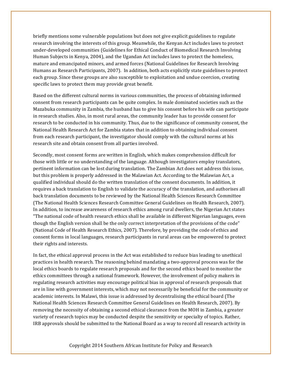briefly mentions some vulnerable populations but does not give explicit guidelines to regulate research involving the interests of this group. Meanwhile, the Kenyan Act includes laws to protect under-developed communities (Guidelines for Ethical Conduct of Biomedical Research Involving Human Subjects in Kenya, 2004), and the Ugandan Act includes laws to protect the homeless, mature and emancipated minors, and armed forces (National Guidelines for Research Involving Humans as Research Participants, 2007). In addition, both acts explicitly state guidelines to protect each group. Since these groups are also susceptible to exploitation and undue coercion, creating specific laws to protect them may provide great benefit.

Based on the different cultural norms in various communities, the process of obtaining informed consent from research participants can be quite complex. In male dominated societies such as the Mazabuka community in Zambia, the husband has to give his consent before his wife can participate in research studies. Also, in most rural areas, the community leader has to provide consent for research to be conducted in his community. Thus, due to the significance of community consent, the National Health Research Act for Zambia states that in addition to obtaining individual consent from each research participant, the investigator should comply with the cultural norms at his research site and obtain consent from all parties involved.

Secondly, most consent forms are written in English, which makes comprehension difficult for those with little or no understanding of the language. Although investigators employ translators, pertinent information can be lost during translation. The Zambian Act does not address this issue, but this problem is properly addressed in the Malawian Act. According to the Malawian Act, a qualified individual should do the written translation of the consent documents. In addition, it requires a back translation to English to validate the accuracy of the translation, and authorises all back translation documents to be reviewed by the National Health Sciences Research Committee (The National Health Sciences Research Committee General Guidelines on Health Research, 2007). In addition, to increase awareness of research ethics among rural dwellers, the Nigerian Act states "The national code of health research ethics shall be available in different Nigerian languages, even though the English version shall be the only correct interpretation of the provisions of the code" (National Code of Health Research Ethics, 2007). Therefore, by providing the code of ethics and consent forms in local languages, research participants in rural areas can be empowered to protect their rights and interests.

In fact, the ethical approval process in the Act was established to reduce bias leading to unethical practices in health research. The reasoning behind mandating a two-approval process was for the local ethics boards to regulate research proposals and for the second ethics board to monitor the ethics committees through a national framework. However, the involvement of policy makers in regulating research activities may encourage political bias in approval of research proposals that are in line with government interests, which may not necessarily be beneficial for the community or academic interests. In Malawi, this issue is addressed by decentralising the ethical board (The National Health Sciences Research Committee General Guidelines on Health Research, 2007). By removing the necessity of obtaining a second ethical clearance from the MOH in Zambia, a greater variety of research topics may be conducted despite the sensitivity or specialty of topics. Rather, IRB approvals should be submitted to the National Board as a way to record all research activity in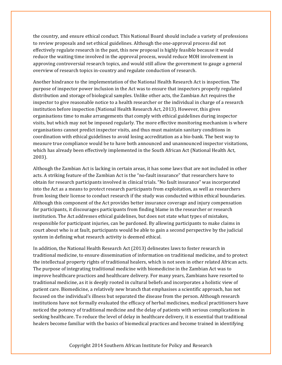the country, and ensure ethical conduct. This National Board should include a variety of professions to review proposals and set ethical guidelines. Although the one-approval process did not effectively regulate research in the past, this new proposal is highly feasible because it would reduce the waiting time involved in the approval process, would reduce MOH involvement in approving controversial research topics, and would still allow the government to gauge a general overview of research topics in-country and regulate conduction of research.

Another hindrance to the implementation of the National Health Research Act is inspection. The purpose of inspector power inclusion in the Act was to ensure that inspectors properly regulated distribution and storage of biological samples. Unlike other acts, the Zambian Act requires the inspector to give reasonable notice to a health researcher or the individual in charge of a research institution before inspection (National Health Research Act, 2013). However, this gives organisations time to make arrangements that comply with ethical guidelines during inspector visits, but which may not be imposed regularly. The more effective monitoring mechanism is where organisations cannot predict inspector visits, and thus must maintain sanitary conditions in coordination with ethical guidelines to avoid losing accreditation as a bio-bank. The best way to measure true compliance would be to have both announced and unannounced inspector visitations, which has already been effectively implemented in the South African Act (National Health Act, 2003). 

Although the Zambian Act is lacking in certain areas, it has some laws that are not included in other acts. A striking feature of the Zambian Act is the "no-fault insurance" that researchers have to obtain for research participants involved in clinical trials. "No fault insurance" was incorporated into the Act as a means to protect research participants from exploitation, as well as researchers from losing their license to conduct research if the study was conducted within ethical boundaries. Although this component of the Act provides better insurance coverage and injury compensation for participants, it discourages participants from finding blame in the researcher or research institution. The Act addresses ethical guidelines, but does not state what types of mistakes, responsible for participant injuries, can be pardoned. By allowing participants to make claims in court about who is at fault, participants would be able to gain a second perspective by the judicial system in defining what research activity is deemed ethical.

In addition, the National Health Research Act (2013) delineates laws to foster research in traditional medicine, to ensure dissemination of information on traditional medicine, and to protect the intellectual property rights of traditional healers, which is not seen in other related African acts. The purpose of integrating traditional medicine with biomedicine in the Zambian Act was to improve healthcare practices and healthcare delivery. For many years, Zambians have resorted to traditional medicine, as it is deeply rooted in cultural beliefs and incorporates a holistic view of patient care. Biomedicine, a relatively new branch that emphasises a scientific approach, has not focused on the individual's illness but separated the disease from the person. Although research institutions have not formally evaluated the efficacy of herbal medicines, medical practitioners have noticed the potency of traditional medicine and the delay of patients with serious complications in seeking healthcare. To reduce the level of delay in healthcare delivery, it is essential that traditional healers become familiar with the basics of biomedical practices and become trained in identifying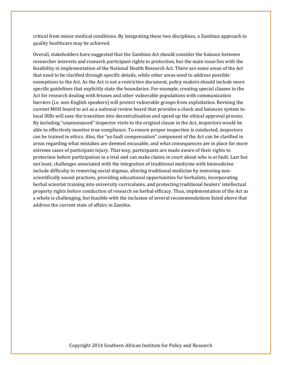critical from minor medical conditions. By integrating these two disciplines, a Zambian approach to quality healthcare may be achieved.

Overall, stakeholders have suggested that the Zambian Act should consider the balance between researcher interests and research participant rights to protection, but the main issue lies with the feasibility in implementation of the National Health Research Act. There are some areas of the Act that need to be clarified through specific details, while other areas need to address possible exemptions to the Act. As the Act is not a restrictive document, policy makers should include more specific guidelines that explicitly state the boundaries. For example, creating special clauses in the Act for research dealing with fetuses and other vulnerable populations with communication barriers (i.e. non-English speakers) will protect vulnerable groups from exploitation. Revising the current MOH board to act as a national review board that provides a check and balances system to local IRBs will ease the transition into decentralisation and speed up the ethical approval process. By including "unannounced" inspector visits to the original clause in the Act, inspectors would be able to effectively monitor true compliance. To ensure proper inspection is conducted, inspectors can be trained in ethics. Also, the "no fault compensation" component of the Act can be clarified in areas regarding what mistakes are deemed excusable, and what consequences are in place for more extreme cases of participant injury. That way, participants are made aware of their rights to protection before participation in a trial and can make claims in court about who is at fault. Last but not least, challenges associated with the integration of traditional medicine with biomedicine include difficulty in removing social stigmas, altering traditional medicine by removing nonscientifically sound practices, providing educational opportunities for herbalists, incorporating herbal scientist training into university curriculums, and protecting traditional healers' intellectual property rights before conduction of research on herbal efficacy. Thus, implementation of the Act as a whole is challenging, but feasible with the inclusion of several recommendations listed above that address the current state of affairs in Zambia.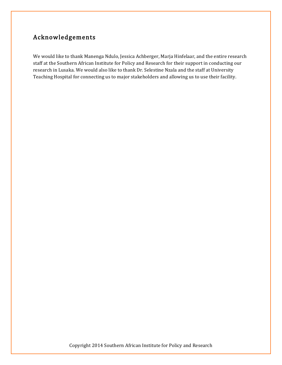# Acknowledgements

We would like to thank Manenga Ndulo, Jessica Achberger, Marja Hinfelaar, and the entire research staff at the Southern African Institute for Policy and Research for their support in conducting our research in Lusaka. We would also like to thank Dr. Selestine Nzala and the staff at University Teaching Hospital for connecting us to major stakeholders and allowing us to use their facility.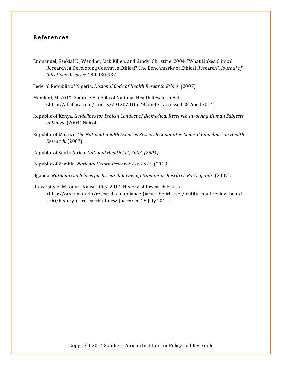# References

Emmanuel, Ezekial K., Wendler, Jack Killen, and Grady, Christine. 2004. "What Makes Clinical Research in Developing Countries Ethical? The Benchmarks of Ethical Research", *Journal of Infectious Diseases*, 189:930-937.

Federal Republic of Nigeria. *National Code of Health Research Ethics*. (2007).

- Mandani, M. 2013. Zambia: Benefits of National Health Research Act. <http://allafrica.com/stories/201307010679.html> [ accessed 28 April 2014]
- Republic of Kenya. *Guidelines for Ethical Conduct of Biomedical Research Involving Human Subjects in Kenya*, (2004) Nairobi.
- Republic of Malawi. The National Health Sciences Research Committee General Guidelines on Health *Research.* (2007).
- Republic of South Africa. *National Health Act, 2003. (2004).*
- Republic of Zambia. *National Health Research Act, 2013***.** (2013).

Uganda. *National Guidelines for Research Involving Humans as Research Participants.* (2007).

University of Missouri-Kansas City. 2014. History of Research Ethics.

<http://ors.umkc.edu/research-compliance-(iacuc-ibc-irb-rsc)/institutional-review-board- (irb)/history-of-research-ethics> [accessed 18 July 2014].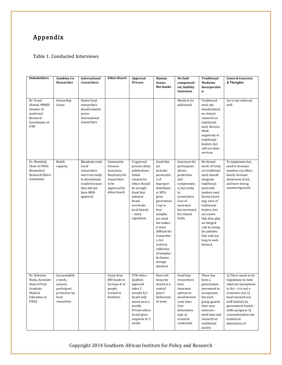# Appendix

#### Table 1. Conducted Interviews

| <b>Stakeholders</b>                                                                                             | <b>Zambian Co-</b><br>Researcher                                                            | International<br>researchers                                                                                                           | <b>Ethics Board</b>                                                                                        | Approval<br><b>Process</b>                                                                                                                                                                   | Human<br>tissue;<br><b>Bio-banks</b>                                                                                                                                                                                                                                                                   | No fault<br>compensati<br>on; liability<br>insurance                                                                                                                                   | <b>Traditional</b><br>Medicine<br>Incorporatio<br>$\mathbf n$                                                                                                                                                                                                                                                   | <b>General Concerns</b><br>& Thoughts                                                                                                                                                                                                                           |
|-----------------------------------------------------------------------------------------------------------------|---------------------------------------------------------------------------------------------|----------------------------------------------------------------------------------------------------------------------------------------|------------------------------------------------------------------------------------------------------------|----------------------------------------------------------------------------------------------------------------------------------------------------------------------------------------------|--------------------------------------------------------------------------------------------------------------------------------------------------------------------------------------------------------------------------------------------------------------------------------------------------------|----------------------------------------------------------------------------------------------------------------------------------------------------------------------------------------|-----------------------------------------------------------------------------------------------------------------------------------------------------------------------------------------------------------------------------------------------------------------------------------------------------------------|-----------------------------------------------------------------------------------------------------------------------------------------------------------------------------------------------------------------------------------------------------------------|
| Dr. Yusuf<br>Ahmed, MMED<br>(master of<br>medicine)<br>Research<br>Coordinator at<br><b>UTH</b>                 | Ownership<br>issues                                                                         | Senior local<br>researchers<br>should mentor<br>junior<br>international<br>researchers                                                 |                                                                                                            |                                                                                                                                                                                              |                                                                                                                                                                                                                                                                                                        | Needs to be<br>addressed                                                                                                                                                               | Traditional<br>med. not<br>standardized;<br>no clinical<br>research on<br>traditional<br>med. Doctors<br>think<br>negatively of<br>traditional<br>healers, but<br>still use their<br>services                                                                                                                   | Act is not enforced<br>well                                                                                                                                                                                                                                     |
| Dr. Munthali,<br>Chair of UNZA<br>Biomedical<br><b>Research Ethics</b><br>Committee                             | <b>Builds</b><br>capacity                                                                   | Mazabuka trial:<br>Local<br>researchers<br>were not ready<br>to disseminate<br>results because<br>they did not<br>have MOH<br>approval | Community<br>Consent<br>necessary;<br>Necessary for<br>researchers<br>to be<br>approved by<br>ethics board | 2-approval<br>process delay<br>publications.<br>Initial<br>consent by<br>ethics should<br>be enough.<br>Good that<br>national<br>board<br>overlooks<br>local boards<br>- more<br>regulation. | Good that<br>act<br>includes<br>persecutio<br>n of<br>improper<br>distributio<br>n; MTA<br>gives<br>governmen<br>t say in<br>how<br>samples<br>are used,<br>but makes<br>it more<br>difficult for<br>researcher<br>s. Act<br>restricts<br>collection<br>of samples<br>& shorter<br>storage<br>duration | Insurance for<br>participants<br>allows<br>protection<br>and<br>compensatio<br>n, but costly<br>to<br>researchers.<br>Cost of<br>insurance<br>has increased<br>for clinical<br>trials. | No formal<br>mech. of trials<br>on traditional<br>med; should<br>integrate<br>traditional<br>med with<br>modern med.<br>Doctors have<br>neg. view of<br>traditional<br>healers, but<br>are aware<br>that they play<br>an integral<br>role in caring<br>for patients<br>that wait too<br>long to seek<br>biomed. | To implement Act,<br>need to increase<br>members on ethics<br>board, increase<br>awareness of act,<br>and have strong<br>monitoring mech.                                                                                                                       |
| Dr. Selestine<br>Nzala, Assistant<br>Dean of Post-<br>Graduate<br>Medical<br><b>Education</b> at<br><b>UNZA</b> | Accountabilit<br>y mech.;<br>ensures<br>participant<br>protection by<br>local<br>researcher |                                                                                                                                        | Grant from<br>JHU funds to<br>increase # of<br>people<br>trained in<br>bioethics.                          | UTH ethics<br>(public):<br>approval<br>takes 2<br>months $b/c$<br>board only<br>meets once a<br>month.<br>Private ethics<br>board gives<br>response in 2<br>weeks                            | How will<br>tissue be<br>stored at a<br>central<br>place?<br>Enforceme<br>nt issue                                                                                                                                                                                                                     | Good that<br>researchers<br>have<br>insurance<br>upfront to<br>avoid heavier<br>costs later.<br>Cost<br>determines<br>type of<br>research<br>conducted.                                | There has<br>been a<br>government<br>movement to<br>incorporate,<br>but each<br>group guards<br>their own<br>interests-<br>need time and<br>research on<br>traditional<br>med to                                                                                                                                | 1) There needs to be<br>regulations to state<br>what are exemptions<br>to Act - it is not a<br>restrictive doc 2)<br>local research not<br>well funded (no<br>government funds) -<br>stifles progress 3)<br>conventionalists not<br>trained on<br>importance of |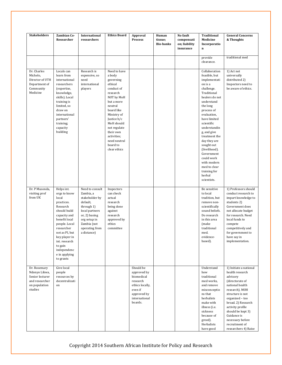| <b>Stakeholders</b>                                                                            | Zambian Co-<br>Researcher                                                                                                                                                                                                                                 | International<br>researchers                                                                                                                                                | <b>Ethics Board</b>                                                                                                                                                                                                                                               | Approval<br><b>Process</b>                                                                                                  | Human<br>tissue;<br><b>Bio-banks</b> | No fault<br>compensati<br>on; liability<br>insurance | <b>Traditional</b><br>Medicine<br>Incorporatio<br>$\bf n$                                                                                                                                                                                                                                                                                                                                        | <b>General Concerns</b><br>& Thoughts                                                                                                                                                                                                                                                            |
|------------------------------------------------------------------------------------------------|-----------------------------------------------------------------------------------------------------------------------------------------------------------------------------------------------------------------------------------------------------------|-----------------------------------------------------------------------------------------------------------------------------------------------------------------------------|-------------------------------------------------------------------------------------------------------------------------------------------------------------------------------------------------------------------------------------------------------------------|-----------------------------------------------------------------------------------------------------------------------------|--------------------------------------|------------------------------------------------------|--------------------------------------------------------------------------------------------------------------------------------------------------------------------------------------------------------------------------------------------------------------------------------------------------------------------------------------------------------------------------------------------------|--------------------------------------------------------------------------------------------------------------------------------------------------------------------------------------------------------------------------------------------------------------------------------------------------|
|                                                                                                |                                                                                                                                                                                                                                                           |                                                                                                                                                                             |                                                                                                                                                                                                                                                                   |                                                                                                                             |                                      |                                                      | provide<br>clearance.                                                                                                                                                                                                                                                                                                                                                                            | traditional med                                                                                                                                                                                                                                                                                  |
| Dr. Charles<br>Michelo,<br>Director of UTH<br>Department of<br>Community<br>Medicine           | Locals can<br>learn from<br>international<br>researchers<br>(expertise,<br>knowledge,<br>skills). Local<br>training is<br>limited, so<br>draw on<br>international<br>partners'<br>training;<br>capacity<br>building                                       | Research is<br>expensive, so<br>need<br>international<br>players                                                                                                            | Need to have<br>a body<br>governing<br>ethical<br>conduct of<br>research<br>NOT by MoH<br>but a more<br>neutral<br>board like<br>Ministry of<br>Justice b/c<br>MoH should<br>not regulate<br>their own<br>activities;<br>need neutral<br>board to<br>clear ethics |                                                                                                                             |                                      |                                                      | Collaboration<br>feasible, but<br>implementati<br>on is a<br>challenge.<br>Traditional<br>healers do not<br>understand<br>the long<br>process of<br>evaluation,<br>have limited<br>scientific<br>understandin<br>g, and give<br>treatment the<br>day they are<br>sought out<br>(livelihood).<br>Government<br>could work<br>with modern<br>med to clear<br>training for<br>herbal<br>scientists. | 1) Act not<br>universally<br>distributed 2)<br>Inspectors need to<br>be aware of ethics.                                                                                                                                                                                                         |
| Dr. P Musonda,<br>visiting prof<br>from UK                                                     | Helps int.<br>orgs to know<br>local<br>practices.<br>Research<br>should build<br>capacity and<br>benefit local<br>people. Local<br>researcher<br>not as PI, but<br>key player in<br>int. research<br>to gain<br>independenc<br>e in applying<br>to grants | Need to consult<br>Zambia, a<br>stakeholder by<br>default,<br>through 1)<br>local partners<br>or, 2) basing<br>org setup in<br>Zambia (not<br>operating from<br>a distance) | Inspectors<br>can check<br>actual<br>research<br>being done<br>against<br>research<br>approved by<br>ethics<br>committee                                                                                                                                          |                                                                                                                             |                                      |                                                      | Be sensitive<br>to local<br>tradition, but<br>remove non-<br>scientifically<br>sound beliefs.<br>Do research<br>in this area<br>(make<br>traditional<br>med.<br>evidence-<br>based).                                                                                                                                                                                                             | 1) Professors should<br>conduct research to<br>impart knowledge to<br>students 2)<br>Government does<br>not allocate budget<br>for research. Need<br>local funds to<br>compete<br>competitively and<br>for government to<br>have say in<br>implementation.                                       |
| Dr. Rosemary<br>Ndonyo Likwa,<br>Senior lecturer<br>and researcher<br>on population<br>studies | Give local<br>people<br>resources by<br>decentralizati<br>on                                                                                                                                                                                              |                                                                                                                                                                             |                                                                                                                                                                                                                                                                   | Should be<br>approved by<br>biomedical<br>research<br>ethics locally,<br>even if<br>approved by<br>international<br>boards. |                                      |                                                      | Understand<br>how<br>traditional<br>med works,<br>and remove<br>misconceptio<br>ns that<br>herbalists<br>make with<br>illness (i.e.<br>sickness<br>because of<br>greed).<br>Herbalists<br>have good                                                                                                                                                                                              | 1) Initiate a national<br>health research<br>advisory<br>(directorate of<br>national health<br>research). MOH<br>structure is not<br>organized - too<br>broad. 2) Research<br>activity profile<br>should be kept 3)<br>Guidance is<br>necessary before<br>recruitment of<br>researchers 4) Raise |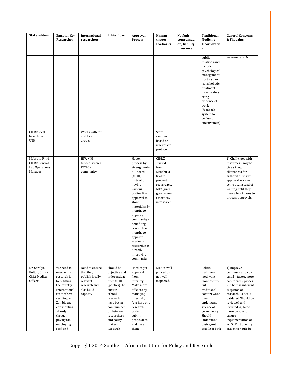| <b>Stakeholders</b>                                                 | Zambian Co-<br>Researcher                                                                                                                                                                                           | International<br>researchers                                                                         | <b>Ethics Board</b>                                                                                                                                                                                       | Approval<br><b>Process</b>                                                                                                                                                                                                                                                                                          | Human<br>tissue;<br><b>Bio-banks</b>                                                                                              | No fault<br>compensati<br>on; liability<br>insurance | <b>Traditional</b><br>Medicine<br>Incorporatio<br>$\mathbf n$                                                                                                                                                             | <b>General Concerns</b><br>& Thoughts                                                                                                                                                                                                                                                                    |
|---------------------------------------------------------------------|---------------------------------------------------------------------------------------------------------------------------------------------------------------------------------------------------------------------|------------------------------------------------------------------------------------------------------|-----------------------------------------------------------------------------------------------------------------------------------------------------------------------------------------------------------|---------------------------------------------------------------------------------------------------------------------------------------------------------------------------------------------------------------------------------------------------------------------------------------------------------------------|-----------------------------------------------------------------------------------------------------------------------------------|------------------------------------------------------|---------------------------------------------------------------------------------------------------------------------------------------------------------------------------------------------------------------------------|----------------------------------------------------------------------------------------------------------------------------------------------------------------------------------------------------------------------------------------------------------------------------------------------------------|
|                                                                     |                                                                                                                                                                                                                     |                                                                                                      |                                                                                                                                                                                                           |                                                                                                                                                                                                                                                                                                                     |                                                                                                                                   |                                                      | public<br>relations and<br>include<br>psychological<br>management.<br>Doctors can<br>learn holistic<br>treatment.<br>Have healers<br>bring<br>evidence of<br>work<br>(feedback<br>system to<br>evaluate<br>effectiveness) | awareness of Act                                                                                                                                                                                                                                                                                         |
| <b>CIDRZ</b> local<br>branch near<br><b>UTH</b>                     |                                                                                                                                                                                                                     | Works with int.<br>and local<br>groups                                                               |                                                                                                                                                                                                           |                                                                                                                                                                                                                                                                                                                     | Store<br>samples<br>based on<br>researcher<br>protocol                                                                            |                                                      |                                                                                                                                                                                                                           |                                                                                                                                                                                                                                                                                                          |
| Mabvuto Phiri,<br><b>CIDRZ</b> Central<br>Lab Operations<br>Manager |                                                                                                                                                                                                                     | HIV, NIH-<br>funded studies,<br>PMTC-<br>community                                                   |                                                                                                                                                                                                           | Hasten<br>process by<br>strengthenin<br>g 1 board<br>(MOH)<br>instead of<br>having<br>various<br>bodies. For<br>approval to<br>store<br>materials: 3+<br>months to<br>approve<br>community-<br>benefiting<br>research. 6+<br>months to<br>approve<br>academic<br>research not<br>directly<br>improving<br>community | CIDRZ<br>started<br>from<br>Mazabuka<br>trial to<br>prevent<br>recurrence.<br>MTA gives<br>governmen<br>t more say<br>in research |                                                      |                                                                                                                                                                                                                           | 1) Challenges with<br>resources - maybe<br>give sitting<br>allowances for<br>authorities to give<br>approval as cases<br>come up, instead of<br>waiting until they<br>have a lot of cases to<br>process approvals.                                                                                       |
| Dr. Carolyn<br>Bolton, CIDRZ<br><b>Chief Medical</b><br>Officer     | We need to<br>ensure that<br>research is<br>benefitting<br>the country.<br>International<br>researchers<br>residing in<br>Zambia are<br>contributing<br>already<br>through<br>paying tax,<br>employing<br>staff and | Need to ensure<br>that they<br>publish locally<br>relevant<br>research and<br>also build<br>capacity | Should be<br>objective and<br>independent<br>from MOH<br>(politics). To<br>ensure<br>ethical<br>research,<br>have better<br>communicati<br>on between<br>researchers<br>and policy<br>makers.<br>Research | Hard to get<br>approval<br>from<br>ministry.<br>Make more<br>efficient by<br>managing<br>internally<br>(ex: have one<br>research<br>body to<br>submit<br>proposal to,<br>and have<br>them                                                                                                                           | MTA is well<br>policed but<br>not well<br>inspected.                                                                              |                                                      | Politics:<br>traditional<br>med want<br>more control<br>but<br>traditional<br>doctors want<br>them to<br>understand<br>science of<br>germ theory.<br>Should<br>understand<br>basics, not<br>details of both               | 1) Improve<br>communication by<br>email - faster, more<br>eco-friendly process.<br>2) There is inherent<br>suspicion of<br>research. 3) Act is<br>outdated. Should be<br>reviewed and<br>updated. 4) Need<br>more people to<br>ensure<br>implementation of<br>act 5) Port of entry<br>and exit should be |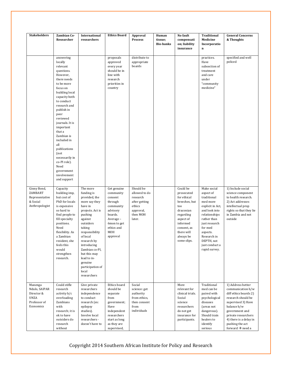| <b>Stakeholders</b>                                                                | <b>Zambian Co-</b><br>Researcher                                                                                                                                                                                                                                                                                                                                                                   | International<br>researchers                                                                                                                                                                                                                                                                             | <b>Ethics Board</b>                                                                                                                               | Approval<br><b>Process</b>                                                                           | Human<br>tissue;<br><b>Bio-banks</b> | No fault<br>compensati<br>on; liability<br>insurance                                                                                                                      | <b>Traditional</b><br>Medicine<br>Incorporatio<br>$\bf n$                                                                                                                                                                        | <b>General Concerns</b><br>& Thoughts                                                                                                                                                                                                            |
|------------------------------------------------------------------------------------|----------------------------------------------------------------------------------------------------------------------------------------------------------------------------------------------------------------------------------------------------------------------------------------------------------------------------------------------------------------------------------------------------|----------------------------------------------------------------------------------------------------------------------------------------------------------------------------------------------------------------------------------------------------------------------------------------------------------|---------------------------------------------------------------------------------------------------------------------------------------------------|------------------------------------------------------------------------------------------------------|--------------------------------------|---------------------------------------------------------------------------------------------------------------------------------------------------------------------------|----------------------------------------------------------------------------------------------------------------------------------------------------------------------------------------------------------------------------------|--------------------------------------------------------------------------------------------------------------------------------------------------------------------------------------------------------------------------------------------------|
|                                                                                    | answering<br>locally<br>relevant<br>questions.<br>However,<br>there needs<br>to be more<br>focus on<br>building local<br>capacity both<br>to conduct<br>research and<br>publish in<br>peer<br>reviewed<br>journals. It is<br>important<br>that a<br>Zambian is<br>included in<br>all<br>publications<br>(not<br>necessarily in<br>co-PI role).<br>Need<br>government<br>involvement<br>and support |                                                                                                                                                                                                                                                                                                          | proposals<br>approved<br>every year<br>should be in<br>line with<br>research<br>priorities in<br>country                                          | distribute to<br>appropriate<br>boards                                                               |                                      |                                                                                                                                                                           | practices.<br>Have<br>subsection of<br>treatment<br>and care<br>under<br>"community<br>medicine"                                                                                                                                 | specified and well<br>policed                                                                                                                                                                                                                    |
| Ginny Bond,<br>ZAMBART<br>Representative<br>& Social<br>Anthropologist             | Capacity<br>building imp,<br>but cost of<br>PhD for locals<br>is expensive<br>so hard to<br>find people to<br>fill specialty<br>positions.<br>Need<br>flexibility. As<br>a Zambian<br>resident, she<br>feels this<br>would<br>strengthen<br>research.                                                                                                                                              | The more<br>funding is<br>provided, the<br>more say they<br>have in<br>projects. Act is<br>pushing<br>against<br>outsiders<br>taking<br>responsibility<br>of local<br>research by<br>introducing<br>Zambian co-PI,<br>but this may<br>lead to in-<br>genuine<br>participation of<br>local<br>researchers | Get genuine<br>community<br>consent<br>through<br>community<br>advisory<br>boards.<br>Average -<br>6mon to get<br>ethics and<br>MOH<br>approval   | Should be<br>allowed to do<br>research<br>after getting<br>ethics<br>approval,<br>then MOH<br>later. |                                      | Could be<br>prosecuted<br>for ethical<br>breeches, but<br>too<br>draconian<br>regarding<br>aspect of<br>informed<br>consent, as<br>there will<br>always be<br>some slips. | Make social<br>aspect of<br>traditional<br>med more<br>explicit in Act,<br>and look into<br>relationships<br>rather than<br>just research<br>for med<br>aspects.<br>Research in<br>DEPTH, not<br>just conduct a<br>rapid survey. | 1) Include social<br>science component<br>to health research.<br>2) Act addresses<br>intellectual prop<br>rights so that they lie<br>in Zambia and not<br>outside                                                                                |
| Manenga<br>Ndulo, SAIPAR<br>Director &<br><b>UNZA</b><br>Professor of<br>Economics | Could stifle<br>research<br>activity b/c<br>overloading<br>Zambians<br>with<br>research; it is<br>ok to have<br>outsiders do<br>research<br>without                                                                                                                                                                                                                                                | Give private<br>researchers<br>independence<br>to conduct<br>research (ex:<br>epilepsy<br>studies).<br>Involve local<br>researchers -<br>doesn't have to                                                                                                                                                 | Ethics board<br>should be<br>separate<br>from<br>government;<br>Have<br>independent<br>researchers<br>start as long<br>as they are<br>supervised, | Social<br>science: get<br>authority<br>from ethics,<br>then consent<br>from<br>individuals           |                                      | More<br>relevant for<br>clinical trials.<br>Social<br>science<br>researchers<br>do not get<br>insurance for<br>participants.                                              | Traditional<br>med can be<br>paired with<br>psychological<br>diseases<br>(areas not<br>dangerous).<br>Should train<br>healers to<br>identify<br>serious                                                                          | 1) Address better<br>communication b/w<br>diff ethics boards 2)<br>research should be<br>supervised 3) Have<br>balance b/w<br>government and<br>private researchers<br>4) there is a delay in<br>pushing the act<br>forward $\rightarrow$ need a |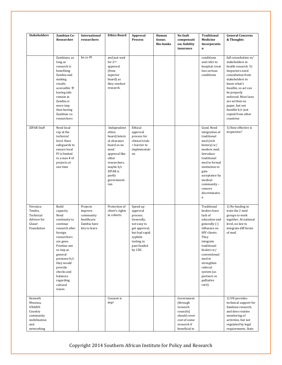| <b>Stakeholders</b>                                                                              | Zambian Co-<br>Researcher                                                                                                                                                                                                                                      | International<br>researchers                                                    | <b>Ethics Board</b>                                                                                                                                                               | Approval<br><b>Process</b>                                                                                                                                           | Human<br>tissue:<br><b>Bio-banks</b> | No fault<br>compensati<br>on; liability<br>insurance                                                            | Traditional<br>Medicine<br>Incorporatio<br>$\bf n$                                                                                                                                                                                                                  | <b>General Concerns</b><br>& Thoughts                                                                                                                                                                                                                                                             |
|--------------------------------------------------------------------------------------------------|----------------------------------------------------------------------------------------------------------------------------------------------------------------------------------------------------------------------------------------------------------------|---------------------------------------------------------------------------------|-----------------------------------------------------------------------------------------------------------------------------------------------------------------------------------|----------------------------------------------------------------------------------------------------------------------------------------------------------------------|--------------------------------------|-----------------------------------------------------------------------------------------------------------------|---------------------------------------------------------------------------------------------------------------------------------------------------------------------------------------------------------------------------------------------------------------------|---------------------------------------------------------------------------------------------------------------------------------------------------------------------------------------------------------------------------------------------------------------------------------------------------|
|                                                                                                  | Zambians, as<br>long as<br>research is<br>benefiting<br>Zambia and<br>making<br>results<br>accessible $\rightarrow$<br>having info<br>remain in<br>Zambia is<br>more imp<br>than having<br>Zambian co-<br>researchers                                          | be co-PI                                                                        | and just wait<br>for 2nd<br>approval<br>(from<br>superior<br>board) as<br>they conduct<br>research.                                                                               |                                                                                                                                                                      |                                      |                                                                                                                 | conditions<br>and refer to<br>hospital; treat<br>less serious<br>conditions                                                                                                                                                                                         | full consultation w/<br>stakeholders in<br>health research. 5)<br>Inspectors need<br>consultation from<br>stakeholders to<br>know what's<br>feasible, so act can<br>be properly<br>enforced. Most laws<br>are written on<br>paper, but not<br>feasible b/c just<br>copied from other<br>countries |
| <b>ZIPAR Staff</b>                                                                               | Need local<br>rep at the<br>technical<br>level. Have<br>safeguards to<br>ensure local<br>PI is limited<br>to a max # of<br>projects at<br>one time                                                                                                             |                                                                                 | Independent<br>ethics<br>board/intern<br>al clearance<br>board so no<br>need<br>approval like<br>other<br>researchers,<br>maybe $b/c$<br>ZIPAR is<br>partly<br>government-<br>run | Ethical<br>approval<br>process for<br>clinical trials<br>$=$ barrier to<br>implementati<br>on                                                                        |                                      |                                                                                                                 | Good. Need<br>integration of<br>traditional<br>med (rich<br>history) w/<br>modern med.<br>Introduce<br>traditional<br>med to formal<br>institution to<br>gain<br>acceptance by<br>medical<br>community -<br>remove<br>discriminatio<br>$\mathbf n$                  | 1) How effective is<br>inspection?                                                                                                                                                                                                                                                                |
| Veronica<br>Tembo,<br>Technical<br>Advisor for<br>Glaser<br>Foundation                           | Build<br>capacity.<br>Need<br>continuity to<br>continue<br>research after<br>foreign<br>researchers<br>are gone.<br>Position not<br>so imp as<br>general<br>presence b/c<br>they would<br>provide<br>checks and<br>balances<br>regarding<br>cultural<br>issues | Projects<br>improve<br>community<br>healthcare.<br>Zambia have<br>lots to learn | Protection of<br>client's rights<br>in cohorts                                                                                                                                    | Speed up<br>approval<br>process.<br>Generally,<br>not easy to<br>get approval,<br>but had rapid<br>$\operatorname{synhilis}$<br>testing in<br>past funded<br>by CDC. |                                      |                                                                                                                 | Traditional<br>healers have<br>lack of<br>education and<br>generally (-)<br>influence on<br>HIV clients.<br>They<br>integrate<br>traditional<br>healers w/<br>conventional<br>med to<br>strengthen<br>referral<br>system (as<br>partners in<br>palliative<br>care). | 1) No funding to<br>train the 2 med<br>groups to work<br>together. At national<br>level, no law to<br>integrate diff forms<br>of med.                                                                                                                                                             |
| Kenneth<br>Mwansa,<br><b>UNAIDS</b><br>Country<br>community<br>mobilization<br>and<br>networking |                                                                                                                                                                                                                                                                |                                                                                 | Consent is<br>imp!                                                                                                                                                                |                                                                                                                                                                      |                                      | Government<br>(through<br>research<br>councils)<br>should cover<br>cost of some<br>research if<br>beneficial to |                                                                                                                                                                                                                                                                     | 1) UN provides<br>technical support for<br>Zambian research,<br>and does routine<br>monitoring of<br>activities, but not<br>regulated by legal<br>requirements. Stats                                                                                                                             |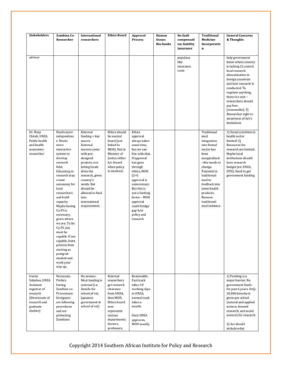| <b>Stakeholders</b>                                                                                                         | Zambian Co-<br>Researcher                                                                                                                                                                                                                                                                                                                                                                                                                        | International<br>researchers                                                                                                                                                                                                                                       | <b>Ethics Board</b>                                                                                                                                                        | Approval<br><b>Process</b>                                                                                                                                                                                                                                                                                    | Human<br>tissue;<br><b>Bio-banks</b> | No fault<br>compensati<br>on; liability<br>insurance | <b>Traditional</b><br>Medicine<br>Incorporatio<br>$\mathbf n$                                                                                                                                                                                       | <b>General Concerns</b><br>& Thoughts                                                                                                                                                                                                                                                                                          |
|-----------------------------------------------------------------------------------------------------------------------------|--------------------------------------------------------------------------------------------------------------------------------------------------------------------------------------------------------------------------------------------------------------------------------------------------------------------------------------------------------------------------------------------------------------------------------------------------|--------------------------------------------------------------------------------------------------------------------------------------------------------------------------------------------------------------------------------------------------------------------|----------------------------------------------------------------------------------------------------------------------------------------------------------------------------|---------------------------------------------------------------------------------------------------------------------------------------------------------------------------------------------------------------------------------------------------------------------------------------------------------------|--------------------------------------|------------------------------------------------------|-----------------------------------------------------------------------------------------------------------------------------------------------------------------------------------------------------------------------------------------------------|--------------------------------------------------------------------------------------------------------------------------------------------------------------------------------------------------------------------------------------------------------------------------------------------------------------------------------|
| advisor                                                                                                                     |                                                                                                                                                                                                                                                                                                                                                                                                                                                  |                                                                                                                                                                                                                                                                    |                                                                                                                                                                            |                                                                                                                                                                                                                                                                                                               |                                      | populace,<br>like<br>insurance<br>costs              |                                                                                                                                                                                                                                                     | help government<br>know where country<br>is lacking 2) control<br>local research<br>dissemination to<br>foreign countries<br>and how research is<br>conducted. To<br>regulate anything,<br>there is a cost -<br>researchers should<br>pay fees<br>(reasonable). 3)<br>Researcher right to<br>awareness of Act's<br>limitations |
| Dr. Bona<br>Chitah, UNZA<br>Public health<br>and health<br>economics<br>researcher                                          | Needs more<br>independenc<br>e. Needs<br>more<br>interactive<br>system to<br>develop<br>research<br>field.<br>Educating in<br>research may<br>create<br>autonomy for<br>local<br>researchers<br>and build<br>capacity.<br>Maybe having<br>Co-PI is<br>necessary,<br>given where<br>we are. To be<br>Co-PI, you<br>must be<br>capable. If not<br>capable, learn<br>process from<br>starting as<br>postgrad<br>student and<br>work your<br>way up. | External<br>$funding = key$<br>source.<br>External<br>sources come<br>with pre-<br>designed<br>projects, not<br>letting locals<br>drive the<br>research, given<br>country's<br>needs. But<br>should be<br>allowed to feed<br>into<br>international<br>requirements | Ethics should<br>be neutral<br>board (not<br>linked to<br>MOH). Not in<br>Ministry of<br>Justice either<br>b/c biased<br>when policy<br>is involved.                       | Ethics<br>approval<br>always takes<br>some time,<br>but we can<br>live with that.<br>If approval<br>has gone<br>through<br>ethics, MOH<br>(2 <sup>nd</sup> )<br>approval is<br>unnecessary.<br>But this is<br>not a limiting<br>factor - MOH<br>approval<br>could bridge<br>gap b/w<br>policy and<br>research |                                      |                                                      | Traditional<br>med<br>integration<br>into formal<br>sector has<br>been<br>marginalized<br>-this needs to<br>change.<br>Potential in<br>traditional<br>med to<br>feedback into<br>some health<br>products.<br>Remove<br>traditional<br>med isolation | 1) Social scientists in<br>health sector<br>limited! 2)<br>Resources for<br>research are limited;<br>Maybe local<br>institutions should<br>have research<br>budget (ex: UNZA,<br>UTH). Hard to get<br>government funding                                                                                                       |
| Ireene<br>Subulwa, UNZA<br>Assistant<br>registrar of<br>research<br>(Directorate of<br>research and<br>graduate<br>studies) | Necessary.<br>Prefers<br>having<br>Zambian co-<br>PI to ensure<br>foreigners<br>are following<br>procedures<br>and are<br>protecting<br>Zambians                                                                                                                                                                                                                                                                                                 | No answer.<br>Most funding is<br>external (i.e.<br>Danida for<br>school of vet,<br>Japanese<br>government in<br>school of vet)                                                                                                                                     | External<br>researchers<br>get research<br>clearance<br>from UNZA,<br>then MOH.<br>Ethics board<br>now<br>represents<br>various<br>departments:<br>doctors,<br>professors, | Reasonable.<br>Fast track<br>takes 10<br>working days<br>in UNZA;<br>normal track<br>takes a<br>month.<br>Once UNZA<br>approves,<br>MOH usually                                                                                                                                                               |                                      |                                                      |                                                                                                                                                                                                                                                     | 1) Funding is a<br>major barrier. No<br>government funds<br>for past 6 years. Only<br>20,000 kwacha is<br>given per school<br>(natural and applied<br>science, biomed<br>research, and social<br>science) for research<br>2) Act should<br>include what                                                                        |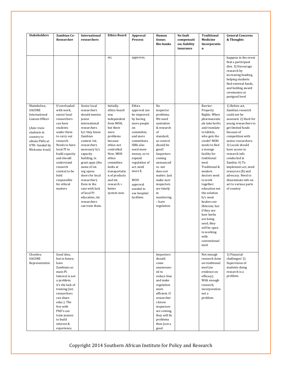| <b>Stakeholders</b>                                                                                                                                       | Zambian Co-<br>Researcher                                                                                                                                                                                                                                                                 | International<br>researchers                                                                                                                                                                                                                                                                                                                                                            | <b>Ethics Board</b>                                                                                                                                                                                                                                                          | Approval<br><b>Process</b>                                                                                                                                                                                                                                                   | Human<br>tissue;<br><b>Bio-banks</b>                                                                                                                                                                                                                                                        | No fault<br>compensati<br>on; liability<br>insurance | <b>Traditional</b><br>Medicine<br>Incorporatio<br>n                                                                                                                                                                                                                                                                                                                                                                                                                               | <b>General Concerns</b><br>& Thoughts                                                                                                                                                                                                                                                                                                                                                                    |
|-----------------------------------------------------------------------------------------------------------------------------------------------------------|-------------------------------------------------------------------------------------------------------------------------------------------------------------------------------------------------------------------------------------------------------------------------------------------|-----------------------------------------------------------------------------------------------------------------------------------------------------------------------------------------------------------------------------------------------------------------------------------------------------------------------------------------------------------------------------------------|------------------------------------------------------------------------------------------------------------------------------------------------------------------------------------------------------------------------------------------------------------------------------|------------------------------------------------------------------------------------------------------------------------------------------------------------------------------------------------------------------------------------------------------------------------------|---------------------------------------------------------------------------------------------------------------------------------------------------------------------------------------------------------------------------------------------------------------------------------------------|------------------------------------------------------|-----------------------------------------------------------------------------------------------------------------------------------------------------------------------------------------------------------------------------------------------------------------------------------------------------------------------------------------------------------------------------------------------------------------------------------------------------------------------------------|----------------------------------------------------------------------------------------------------------------------------------------------------------------------------------------------------------------------------------------------------------------------------------------------------------------------------------------------------------------------------------------------------------|
|                                                                                                                                                           |                                                                                                                                                                                                                                                                                           |                                                                                                                                                                                                                                                                                                                                                                                         | etc.                                                                                                                                                                                                                                                                         | approves.                                                                                                                                                                                                                                                                    |                                                                                                                                                                                                                                                                                             |                                                      |                                                                                                                                                                                                                                                                                                                                                                                                                                                                                   | happens in the event<br>that a participant<br>dies. 3) Encourage<br>research by<br>increasing funding,<br>helping students<br>find external funds,<br>and holding award<br>ceremonies at<br>postgrad level                                                                                                                                                                                               |
| Maimbolwa,<br>SACORE<br>International<br>Liaison Officer<br>(Aim: train<br>students in<br>country to<br>obtain PhDs at<br>UTH-funded by<br>Welcome trust) | If overloaded<br>with work,<br>senior local<br>researchers<br>can have<br>students<br>under them<br>to carry out<br>research.<br>Needs to have<br>local PI to<br>build capacity<br>and should<br>understand<br>research<br>context to be<br>held<br>responsible<br>for ethical<br>matters | Senior local<br>researchers<br>should mentor<br>junior<br>international<br>researchers<br>b/c they know<br>Zambian<br>context. Int.<br>researchers<br>necessary b/c<br>capacity<br>building, in<br>grant apps (the<br>name of int.<br>org opens<br>doors for local<br>researcher).<br>Even in the<br>case with lack<br>of local PI<br>education, int.<br>researchers<br>can train them. | Initially,<br>ethics board<br>was<br>independent<br>from MOH,<br>but there<br>were<br>problems<br>because<br>ethics not<br>controlled.<br>Now, MOH<br>ethics<br>committee<br>looks at<br>transportatio<br>n of products<br>and int.<br>$research =$<br>better<br>system now. | Ethics<br>approval can<br>be improved<br>by having<br>more people<br>on<br>committee,<br>and more<br>committees.<br>IRBs also<br>need more<br>money, so to<br>expand<br>regulation of<br>act, need<br>more \$.<br>MOH<br>approval<br>needed to<br>use hospital<br>facilities | No<br>inspector<br>problems.<br>We need<br>sanitation<br>& research<br>of<br>standard,<br>so control<br>should be<br>good!<br>Inspectors<br>coming<br>announced<br>vs. not<br>does not<br>matter. Just<br>make sure<br>inspectors<br>are timely<br>in<br>monitoring<br>- have<br>regulation |                                                      | Barrier:<br>Property<br>Rights. When<br>pharmaceutic<br>als take herbs<br>and translate<br>to tablets,<br>who gets the<br>credit? MOH<br>needs to find<br>a storage<br>facility for<br>traditional<br>med.<br>Traditional &<br>modern<br>doctors need<br>to work<br>together:<br>education not<br>the solution<br>b/c most<br>healers are<br>illiterate, but<br>if they see<br>how herbs<br>are being<br>used, they<br>will be open<br>to working<br>with<br>conventional<br>med. | 1) Before act,<br>Zambian research<br>could not be<br>assessed. 2) Hard for<br>young researchers to<br>get limited funds<br>because of<br>competition with<br>senior researchers.<br>3) Locals should<br>have access to<br>research info<br>conducted in<br>Zambia. 4) To<br>implement act, need<br>resources (\$) and<br>advocacy. Need to<br>disseminate info on<br>act to various parts<br>of country |
| Choolwe,<br>SACORE<br>Representative                                                                                                                      | Good idea,<br>but in future,<br>have<br>Zambians as<br>main PI.<br>Interest is not<br>a problem;<br>it's the lack of<br>training (int.<br>researchers<br>can share<br>educ.). The<br>few with<br>PhD's can<br>train juniors<br>to build<br>interest &<br>experience,                      |                                                                                                                                                                                                                                                                                                                                                                                         |                                                                                                                                                                                                                                                                              |                                                                                                                                                                                                                                                                              | Inspectors<br>should<br>come<br>unannounc<br>ed to<br>reduce bias<br>and make<br>regulation<br>more<br>efficient. If<br>researcher<br>s know<br>inspectors<br>are coming,<br>they will fix<br>problems<br>then (not a<br>good                                                               |                                                      | Not enough<br>research done<br>on traditional<br>med (no<br>evidence on<br>efficacy).<br>With enough<br>research,<br>incorporation<br>not a<br>problem.                                                                                                                                                                                                                                                                                                                           | 1) Financial<br>challenges! 2)<br>Supervision of<br>students doing<br>research is a<br>problem.                                                                                                                                                                                                                                                                                                          |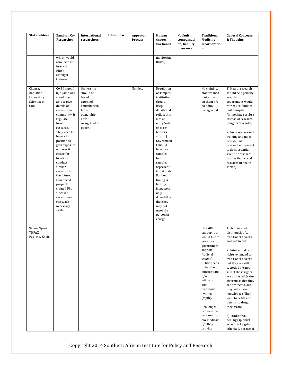| <b>Stakeholders</b>                                              | Zambian Co-<br>Researcher                                                                                                                                                                                                                                                                                                                                                                                        | International<br>researchers                                                                                                    | <b>Ethics Board</b> | Approval<br><b>Process</b> | Human<br>tissue;<br><b>Bio-banks</b>                                                                                                                                                                                                                                                                                                                                                             | No fault<br>compensati<br>on; liability<br>insurance | Traditional<br>Medicine<br>Incorporatio<br>$\mathbf n$                                                                                                                                                                                                                                                          | <b>General Concerns</b><br>& Thoughts                                                                                                                                                                                                                                                                                                                                                                                                                                             |
|------------------------------------------------------------------|------------------------------------------------------------------------------------------------------------------------------------------------------------------------------------------------------------------------------------------------------------------------------------------------------------------------------------------------------------------------------------------------------------------|---------------------------------------------------------------------------------------------------------------------------------|---------------------|----------------------------|--------------------------------------------------------------------------------------------------------------------------------------------------------------------------------------------------------------------------------------------------------------------------------------------------------------------------------------------------------------------------------------------------|------------------------------------------------------|-----------------------------------------------------------------------------------------------------------------------------------------------------------------------------------------------------------------------------------------------------------------------------------------------------------------|-----------------------------------------------------------------------------------------------------------------------------------------------------------------------------------------------------------------------------------------------------------------------------------------------------------------------------------------------------------------------------------------------------------------------------------------------------------------------------------|
|                                                                  | which would<br>also increase<br>interest in<br>PhD's<br>amongst<br>trainees                                                                                                                                                                                                                                                                                                                                      |                                                                                                                                 |                     |                            | monitoring<br>mech.)                                                                                                                                                                                                                                                                                                                                                                             |                                                      |                                                                                                                                                                                                                                                                                                                 |                                                                                                                                                                                                                                                                                                                                                                                                                                                                                   |
| Chansa,<br>Radiation<br>Laboratory<br>Scientist at<br><b>CDH</b> | Co-PI is good<br>b/c Zambians<br>should be<br>able to give<br>details of<br>research to<br>community &<br>regulate<br>foreign<br>research.<br>They need to<br>have a top<br>position to<br>gain exposure<br>- makes it<br>easier for<br>locals to<br>conduct<br>similar<br>research in<br>the future.<br>Don't need<br>properly<br>trained PI's<br>since int.<br>researchers<br>can teach<br>necessary<br>skills | Ownership<br>should be<br>based on<br>extent of<br>contribution.<br>$Lot -$<br>ownership;<br>little-<br>recognized in<br>paper. |                     | No idea.                   | Regulation<br>of samples:<br>institutions<br>should<br>keep<br>details and<br>reflect this<br>info at<br>entry/exit<br>sites (ex:<br>borders,<br>airport).<br>Governmen<br>t should<br>have say in<br>samples<br>b/c<br>samples<br>represent<br>individuals.<br>Random<br>timing is<br>best by<br>inspectors;<br>only<br>downfall is<br>that they<br>may not<br>meet the<br>person in<br>charge. |                                                      | No training.<br>Modern med<br>looks down<br>on them b/c<br>no educ.<br>background                                                                                                                                                                                                                               | 1) Health research<br>should be a priority<br>area, but<br>government would<br>rather use funds to<br>build hospital<br>(immediate results)<br>instead of research<br>(long term results)<br>2) Increase research<br>training and make<br>investment in<br>research equipment<br>to do substantial<br>scientific research<br>(rather than social<br>research in health<br>sector)                                                                                                 |
| Simon Nyoni,<br>THPAZ<br>Publicity Chair                         |                                                                                                                                                                                                                                                                                                                                                                                                                  |                                                                                                                                 |                     |                            |                                                                                                                                                                                                                                                                                                                                                                                                  |                                                      | Has MOH<br>support, but<br>would like to<br>see more<br>government<br>support<br>(judicial<br>system).<br>Public needs<br>to be able to<br>differentiate<br>b/w<br>witchcraft<br>and<br>traditional<br>healing<br>(myth).<br>Challenge:<br>professional<br>jealousy from<br>bio-medicals<br>b/c they<br>provide | 1) Act does not<br>distinguish b/w<br>traditional healers<br>and witchcraft.<br>2) Intellectual prop<br>rights extended to<br>traditional healers,<br>but they are still<br>secretive b/c not<br>sure if these rights<br>are protected (raise<br>awareness that they<br>are protected, and<br>they will share<br>knowledge). They<br>want benefits and<br>patents to drugs<br>they create.<br>3) Traditional<br>healing (spiritual<br>aspect) is largely<br>inherited, but use of |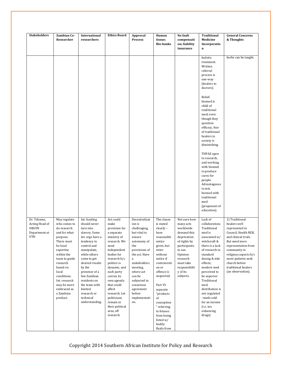| <b>Stakeholders</b>                                                   | <b>Zambian Co-</b><br>Researcher                                                                                                                                                                                                                                      | International<br>researchers                                                                                                                                                                                                                                                                                      | <b>Ethics Board</b>                                                                                                                                                                                                                                                                                                              | Approval<br><b>Process</b>                                                                                                                                                                                                                                   | Human<br>tissue;<br><b>Bio-banks</b>                                                                                                                                                                                                                                                                              | No fault<br>compensati<br>on; liability<br>insurance                                                                                                                                           | <b>Traditional</b><br>Medicine<br>Incorporatio<br>n                                                                                                                                                                                                                                                                                           | <b>General Concerns</b><br>& Thoughts                                                                                                                                                                                                                                |
|-----------------------------------------------------------------------|-----------------------------------------------------------------------------------------------------------------------------------------------------------------------------------------------------------------------------------------------------------------------|-------------------------------------------------------------------------------------------------------------------------------------------------------------------------------------------------------------------------------------------------------------------------------------------------------------------|----------------------------------------------------------------------------------------------------------------------------------------------------------------------------------------------------------------------------------------------------------------------------------------------------------------------------------|--------------------------------------------------------------------------------------------------------------------------------------------------------------------------------------------------------------------------------------------------------------|-------------------------------------------------------------------------------------------------------------------------------------------------------------------------------------------------------------------------------------------------------------------------------------------------------------------|------------------------------------------------------------------------------------------------------------------------------------------------------------------------------------------------|-----------------------------------------------------------------------------------------------------------------------------------------------------------------------------------------------------------------------------------------------------------------------------------------------------------------------------------------------|----------------------------------------------------------------------------------------------------------------------------------------------------------------------------------------------------------------------------------------------------------------------|
|                                                                       |                                                                                                                                                                                                                                                                       |                                                                                                                                                                                                                                                                                                                   |                                                                                                                                                                                                                                                                                                                                  |                                                                                                                                                                                                                                                              |                                                                                                                                                                                                                                                                                                                   |                                                                                                                                                                                                | holistic<br>treatment.<br>Written<br>referral<br>process is<br>one-way<br>(healers to<br>doctors).                                                                                                                                                                                                                                            | herbs can be taught.                                                                                                                                                                                                                                                 |
|                                                                       |                                                                                                                                                                                                                                                                       |                                                                                                                                                                                                                                                                                                                   |                                                                                                                                                                                                                                                                                                                                  |                                                                                                                                                                                                                                                              |                                                                                                                                                                                                                                                                                                                   |                                                                                                                                                                                                | Belief:<br>biomed is<br>child of<br>traditional<br>med; even<br>though they<br>question<br>efficacy, fear<br>of traditional<br>healers in<br>society is<br>diminishing.                                                                                                                                                                       |                                                                                                                                                                                                                                                                      |
|                                                                       |                                                                                                                                                                                                                                                                       |                                                                                                                                                                                                                                                                                                                   |                                                                                                                                                                                                                                                                                                                                  |                                                                                                                                                                                                                                                              |                                                                                                                                                                                                                                                                                                                   |                                                                                                                                                                                                | THPAZ open<br>to research,<br>and working<br>with biomed<br>to produce<br>cures for<br>people.<br>Advantageous<br>to mix<br>biomed with<br>traditional<br>med<br>(proponent of<br>education).                                                                                                                                                 |                                                                                                                                                                                                                                                                      |
| Dr. Tshuma,<br>Acting Head of<br><b>OBGYN</b><br>Department at<br>UTH | May regulate<br>who comes to<br>do research<br>and for what<br>purpose.<br>There must<br>be local<br>expertise<br>within the<br>team to guide<br>research<br>based on<br>local<br>conditions.<br>Int. research<br>may be more<br>embraced as<br>a Zambian<br>product. | Int. funding<br>should never<br>turn into<br>slavery. Some<br>int. orgs have a<br>tendency to<br>control and<br>manipulate,<br>while others<br>come to get<br>desired results<br>by the<br>presence of a<br>few Zambian<br>residents on<br>the team with<br>limited<br>research or<br>technical<br>understanding. | Act could<br>make<br>provision for<br>a separate<br>ministry of<br>research. We<br>need<br>independent<br>bodies for<br>research b/c<br>politics is<br>dynamic, and<br>each party<br>carries its<br>own agenda<br>that could<br>affect<br>research. Let<br>politicians<br>remain in<br>their political<br>area, off<br>research. | Decentralizat<br>ion is<br>challenging,<br>but vital to<br>ensure<br>autonomy of<br>the<br>provisions of<br>the act. Have<br>a<br>stakeholders<br>meeting,<br>where act<br>can be<br>subjected to<br>consensus<br>agreement<br>before<br>implementati<br>on. | The clause<br>is stated<br>clearly -<br>have<br>reasonable<br>notice<br>given, but<br>enter<br>without<br>notice if<br>contraventi<br>on or<br>offence is<br>suspected.<br>Part VI:<br>separate<br>"products<br>of<br>conception<br>" referring<br>to fetuses<br>from being<br>listed w/<br>bodily<br>fluids from | Not sure how<br>many acts<br>worldwide<br>demand this<br>deprivation<br>of rights by<br>participants<br>to sue.<br>Opinion:<br>research<br>must take<br>responsibilit<br>y of its<br>subjects. | Lack of<br>collaboration;<br>Traditional<br>med is<br>associated w/<br>witchcraft &<br>there is a lack<br>of research in<br>standard<br>dosing & side<br>effects;<br>modern med<br>perceived to<br>be superior.<br>Traditional<br>med.<br>distribution is<br>not regulated<br>-meds sold<br>for an income<br>(i.e. sex<br>enhancing<br>drugs) | 1) Traditional<br>healers well<br>represented in<br>Council, Health REB,<br>and clinical trials.<br>But need more<br>representation from<br>community in<br>religious aspects b/c<br>more patients seek<br>church before<br>traditional healers<br>(an observation). |